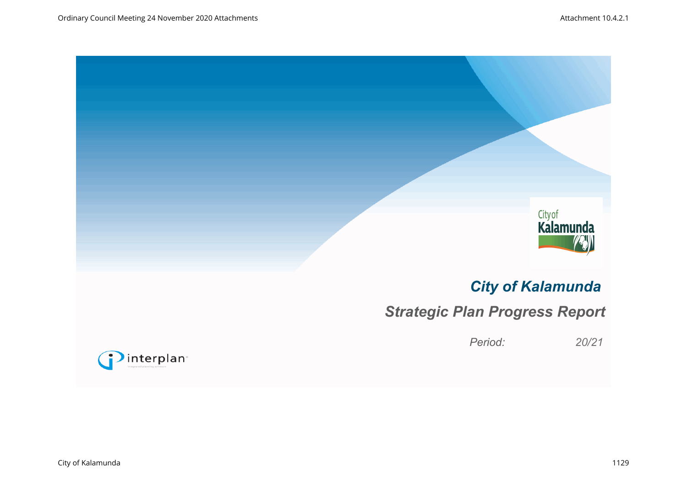



# *City of Kalamunda*

# *Strategic Plan Progress Report*

*Period: 20/21*

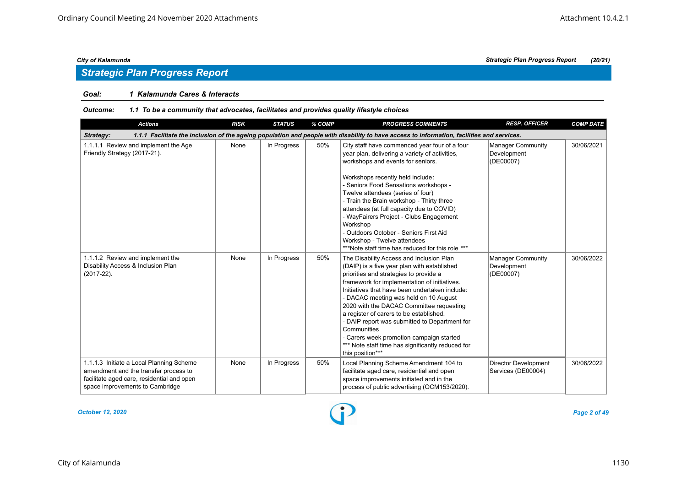## *Strategic Plan Progress Report*

#### *Goal: 1 Kalamunda Cares & Interacts*

#### *Outcome: 1.1 To be a community that advocates, facilitates and provides quality lifestyle choices*

| <b>Actions</b>                                                                                                                                                     | <b>RISK</b> | <b>STATUS</b> | % COMP | <b>PROGRESS COMMENTS</b>                                                                                                                                                                                                                                                                                                                                                                                                                                                                                                                                 | <b>RESP. OFFICER</b>                                 | <b>COMP DATE</b> |
|--------------------------------------------------------------------------------------------------------------------------------------------------------------------|-------------|---------------|--------|----------------------------------------------------------------------------------------------------------------------------------------------------------------------------------------------------------------------------------------------------------------------------------------------------------------------------------------------------------------------------------------------------------------------------------------------------------------------------------------------------------------------------------------------------------|------------------------------------------------------|------------------|
| Strategy:                                                                                                                                                          |             |               |        | 1.1.1 Facilitate the inclusion of the ageing population and people with disability to have access to information, facilities and services.                                                                                                                                                                                                                                                                                                                                                                                                               |                                                      |                  |
| 1.1.1.1 Review and implement the Age<br>Friendly Strategy (2017-21).                                                                                               | None        | In Progress   | 50%    | City staff have commenced year four of a four<br>year plan, delivering a variety of activities,<br>workshops and events for seniors.<br>Workshops recently held include:<br>- Seniors Food Sensations workshops -<br>Twelve attendees (series of four)<br>- Train the Brain workshop - Thirty three<br>attendees (at full capacity due to COVID)<br>- WayFairers Project - Clubs Engagement<br>Workshop<br>- Outdoors October - Seniors First Aid<br>Workshop - Twelve attendees<br>***Note staff time has reduced for this role ***                     | <b>Manager Community</b><br>Development<br>(DE00007) | 30/06/2021       |
| 1.1.1.2 Review and implement the<br>Disability Access & Inclusion Plan<br>$(2017 - 22)$ .                                                                          | None        | In Progress   | 50%    | The Disability Access and Inclusion Plan<br>(DAIP) is a five year plan with established<br>priorities and strategies to provide a<br>framework for implementation of initiatives.<br>Initiatives that have been undertaken include:<br>- DACAC meeting was held on 10 August<br>2020 with the DACAC Committee requesting<br>a register of carers to be established.<br>- DAIP report was submitted to Department for<br>Communities<br>- Carers week promotion campaign started<br>*** Note staff time has significantly reduced for<br>this position*** | <b>Manager Community</b><br>Development<br>(DE00007) | 30/06/2022       |
| 1.1.1.3 Initiate a Local Planning Scheme<br>amendment and the transfer process to<br>facilitate aged care, residential and open<br>space improvements to Cambridge | None        | In Progress   | 50%    | Local Planning Scheme Amendment 104 to<br>facilitate aged care, residential and open<br>space improvements initiated and in the<br>process of public advertising (OCM153/2020).                                                                                                                                                                                                                                                                                                                                                                          | <b>Director Development</b><br>Services (DE00004)    | 30/06/2022       |

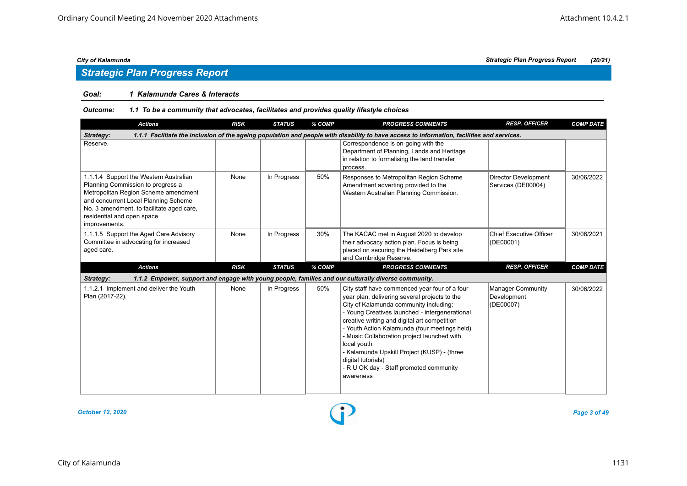#### *Goal: 1 Kalamunda Cares & Interacts*

#### *Outcome: 1.1 To be a community that advocates, facilitates and provides quality lifestyle choices*

| <b>Actions</b>                                                                                                                                                                                                                                          | <b>RISK</b> | <b>STATUS</b> | % COMP | <b>PROGRESS COMMENTS</b>                                                                                                                                                                                                                                                                                                                                                                                                                                                               | <b>RESP. OFFICER</b>                                 | <b>COMP DATE</b> |
|---------------------------------------------------------------------------------------------------------------------------------------------------------------------------------------------------------------------------------------------------------|-------------|---------------|--------|----------------------------------------------------------------------------------------------------------------------------------------------------------------------------------------------------------------------------------------------------------------------------------------------------------------------------------------------------------------------------------------------------------------------------------------------------------------------------------------|------------------------------------------------------|------------------|
| Strategy:                                                                                                                                                                                                                                               |             |               |        | 1.1.1 Facilitate the inclusion of the ageing population and people with disability to have access to information, facilities and services.                                                                                                                                                                                                                                                                                                                                             |                                                      |                  |
| Reserve.                                                                                                                                                                                                                                                |             |               |        | Correspondence is on-going with the<br>Department of Planning, Lands and Heritage<br>in relation to formalising the land transfer<br>process.                                                                                                                                                                                                                                                                                                                                          |                                                      |                  |
| 1.1.1.4 Support the Western Australian<br>Planning Commission to progress a<br>Metropolitan Region Scheme amendment<br>and concurrent Local Planning Scheme<br>No. 3 amendment, to facilitate aged care,<br>residential and open space<br>improvements. | None        | In Progress   | 50%    | Responses to Metropolitan Region Scheme<br>Amendment adverting provided to the<br>Western Australian Planning Commission.                                                                                                                                                                                                                                                                                                                                                              | <b>Director Development</b><br>Services (DE00004)    | 30/06/2022       |
| 1.1.1.5 Support the Aged Care Advisory<br>Committee in advocating for increased<br>aged care.                                                                                                                                                           | None        | In Progress   | 30%    | The KACAC met in August 2020 to develop<br>their advocacy action plan. Focus is being<br>placed on securing the Heidelberg Park site<br>and Cambridge Reserve.                                                                                                                                                                                                                                                                                                                         | <b>Chief Executive Officer</b><br>(DE00001)          | 30/06/2021       |
| <b>Actions</b>                                                                                                                                                                                                                                          | <b>RISK</b> | <b>STATUS</b> | % COMP | <b>PROGRESS COMMENTS</b>                                                                                                                                                                                                                                                                                                                                                                                                                                                               | <b>RESP. OFFICER</b>                                 | <b>COMP DATE</b> |
| Strategy:                                                                                                                                                                                                                                               |             |               |        | 1.1.2 Empower, support and engage with young people, families and our culturally diverse community.                                                                                                                                                                                                                                                                                                                                                                                    |                                                      |                  |
| 1.1.2.1 Implement and deliver the Youth<br>Plan (2017-22).                                                                                                                                                                                              | None        | In Progress   | 50%    | City staff have commenced year four of a four<br>year plan, delivering several projects to the<br>City of Kalamunda community including:<br>- Young Creatives launched - intergenerational<br>creative writing and digital art competition<br>- Youth Action Kalamunda (four meetings held)<br>- Music Collaboration project launched with<br>local youth<br>- Kalamunda Upskill Project (KUSP) - (three<br>digital tutorials)<br>- R U OK day - Staff promoted community<br>awareness | <b>Manager Community</b><br>Development<br>(DE00007) | 30/06/2022       |



*City of Kalamunda Strategic Plan Progress Report (20/21)*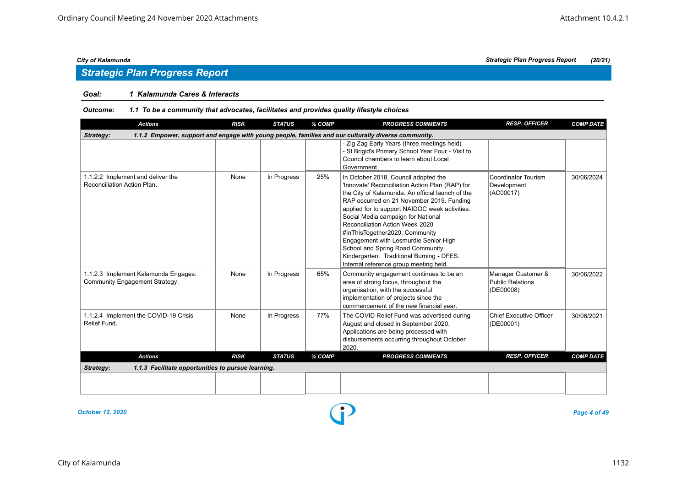### *Goal: 1 Kalamunda Cares & Interacts*

#### *Outcome: 1.1 To be a community that advocates, facilitates and provides quality lifestyle choices*

| <b>Actions</b>                                                         | <b>RISK</b> | <b>STATUS</b> | % COMP | <b>PROGRESS COMMENTS</b>                                                                                                                                                                                                                                                                                                                                                                                                                                                                                                  | <b>RESP. OFFICER</b>                                       | <b>COMP DATE</b> |
|------------------------------------------------------------------------|-------------|---------------|--------|---------------------------------------------------------------------------------------------------------------------------------------------------------------------------------------------------------------------------------------------------------------------------------------------------------------------------------------------------------------------------------------------------------------------------------------------------------------------------------------------------------------------------|------------------------------------------------------------|------------------|
| Strategy:                                                              |             |               |        | 1.1.2 Empower, support and engage with young people, families and our culturally diverse community.                                                                                                                                                                                                                                                                                                                                                                                                                       |                                                            |                  |
|                                                                        |             |               |        | - Zig Zag Early Years (three meetings held)<br>- St Brigid's Primary School Year Four - Visit to<br>Council chambers to learn about Local<br>Government                                                                                                                                                                                                                                                                                                                                                                   |                                                            |                  |
| 1.1.2.2 Implement and deliver the<br>Reconciliation Action Plan.       | None        | In Progress   | 25%    | In October 2018, Council adopted the<br>'Innovate' Reconciliation Action Plan (RAP) for<br>the City of Kalamunda. An official launch of the<br>RAP occurred on 21 November 2019. Funding<br>applied for to support NAIDOC week activities.<br>Social Media campaign for National<br>Reconciliation Action Week 2020<br>#InThisTogether2020. Community<br>Engagement with Lesmurdie Senior High<br>School and Spring Road Community<br>Kindergarten. Traditional Burning - DFES.<br>Internal reference group meeting held. | Coordinator Tourism<br>Development<br>(AC00017)            | 30/06/2024       |
| 1.1.2.3 Implement Kalamunda Engages:<br>Community Engagement Strategy. | None        | In Progress   | 65%    | Community engagement continues to be an<br>area of strong focus, throughout the<br>organisation, with the successful<br>implementation of projects since the<br>commencement of the new financial year.                                                                                                                                                                                                                                                                                                                   | Manager Customer &<br><b>Public Relations</b><br>(DE00008) | 30/06/2022       |
| 1.1.2.4 Implement the COVID-19 Crisis<br>Relief Fund.                  | None        | In Progress   | 77%    | The COVID Relief Fund was advertised during<br>August and closed in September 2020.<br>Applications are being processed with<br>disbursements occurring throughout October<br>2020.                                                                                                                                                                                                                                                                                                                                       | <b>Chief Executive Officer</b><br>(DE00001)                | 30/06/2021       |
| <b>Actions</b>                                                         | <b>RISK</b> | <b>STATUS</b> | % COMP | <b>PROGRESS COMMENTS</b>                                                                                                                                                                                                                                                                                                                                                                                                                                                                                                  | <b>RESP. OFFICER</b>                                       | <b>COMP DATE</b> |
| 1.1.3 Facilitate opportunities to pursue learning.<br>Strategy:        |             |               |        |                                                                                                                                                                                                                                                                                                                                                                                                                                                                                                                           |                                                            |                  |
|                                                                        |             |               |        |                                                                                                                                                                                                                                                                                                                                                                                                                                                                                                                           |                                                            |                  |
|                                                                        |             |               |        |                                                                                                                                                                                                                                                                                                                                                                                                                                                                                                                           |                                                            |                  |

*October 12, 2020 Page 4 of 49*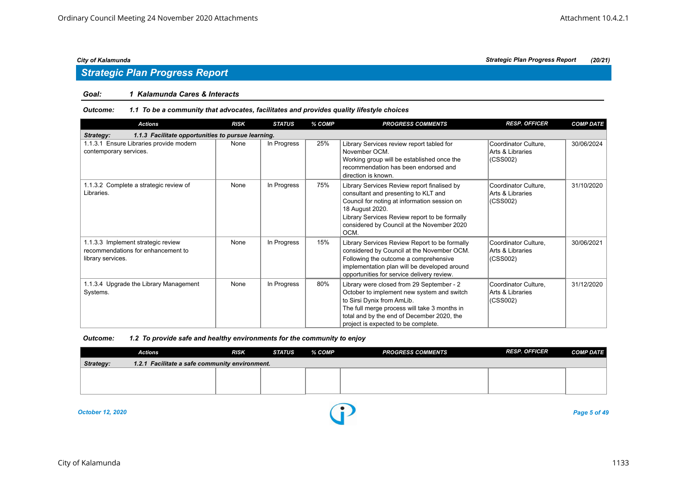## *Strategic Plan Progress Report*

### *Goal: 1 Kalamunda Cares & Interacts*

#### *Outcome: 1.1 To be a community that advocates, facilitates and provides quality lifestyle choices*

| <b>Actions</b>                                                                                | <b>RISK</b> | <b>STATUS</b> | % COMP | <b>PROGRESS COMMENTS</b>                                                                                                                                                                                                                                      | <b>RESP. OFFICER</b>                                 | <b>COMP DATE</b> |
|-----------------------------------------------------------------------------------------------|-------------|---------------|--------|---------------------------------------------------------------------------------------------------------------------------------------------------------------------------------------------------------------------------------------------------------------|------------------------------------------------------|------------------|
| 1.1.3 Facilitate opportunities to pursue learning.<br>Strategy:                               |             |               |        |                                                                                                                                                                                                                                                               |                                                      |                  |
| 1.1.3.1 Ensure Libraries provide modern<br>contemporary services.                             | None        | In Progress   | 25%    | Library Services review report tabled for<br>November OCM.<br>Working group will be established once the<br>recommendation has been endorsed and<br>direction is known.                                                                                       | Coordinator Culture,<br>Arts & Libraries<br>(CSS002) | 30/06/2024       |
| 1.1.3.2 Complete a strategic review of<br>Libraries.                                          | None        | In Progress   | 75%    | Library Services Review report finalised by<br>consultant and presenting to KLT and<br>Council for noting at information session on<br>18 August 2020.<br>Library Services Review report to be formally<br>considered by Council at the November 2020<br>OCM. | Coordinator Culture,<br>Arts & Libraries<br>(CSS002) | 31/10/2020       |
| 1.1.3.3 Implement strategic review<br>recommendations for enhancement to<br>library services. | None        | In Progress   | 15%    | Library Services Review Report to be formally<br>considered by Council at the November OCM.<br>Following the outcome a comprehensive<br>implementation plan will be developed around<br>opportunities for service delivery review.                            | Coordinator Culture,<br>Arts & Libraries<br>(CSS002) | 30/06/2021       |
| 1.1.3.4 Upgrade the Library Management<br>Systems.                                            | None        | In Progress   | 80%    | Library were closed from 29 September - 2<br>October to implement new system and switch<br>to Sirsi Dynix from AmLib.<br>The full merge process will take 3 months in<br>total and by the end of December 2020, the<br>project is expected to be complete.    | Coordinator Culture,<br>Arts & Libraries<br>(CSS002) | 31/12/2020       |

| Outcome: | 1.2 To provide safe and healthy environments for the community to enjoy |  |
|----------|-------------------------------------------------------------------------|--|
|          |                                                                         |  |

|           | Actions                                        | <b>RISK</b> | STATUS | % COMP | <b>PROGRESS COMMENTS</b> | <b>RESP. OFFICER</b> | <b>COMP DATE</b> |
|-----------|------------------------------------------------|-------------|--------|--------|--------------------------|----------------------|------------------|
| Strategy: | 1.2.1 Facilitate a safe community environment. |             |        |        |                          |                      |                  |
|           |                                                |             |        |        |                          |                      |                  |
|           |                                                |             |        |        |                          |                      |                  |
|           |                                                |             |        |        |                          |                      |                  |

*October 12, 2020 Page 5 of 49*

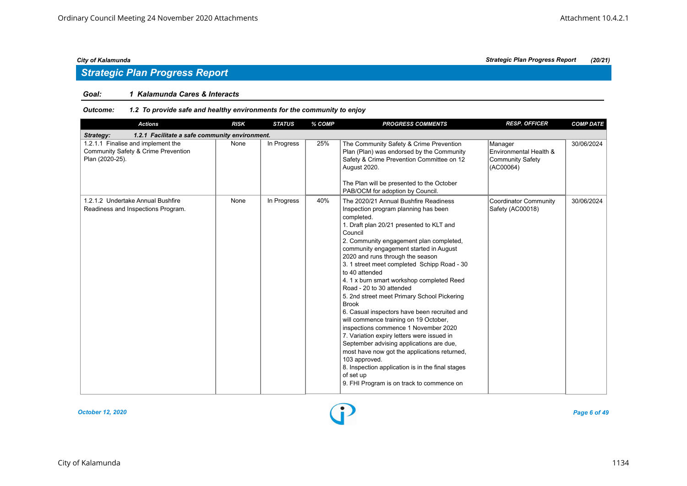## *Strategic Plan Progress Report*

#### *Goal: 1 Kalamunda Cares & Interacts*

| <b>Actions</b>                                                                               | <b>RISK</b> | <b>STATUS</b> | % COMP | <b>PROGRESS COMMENTS</b>                                                                                                                                                                                                                                                                                                                                                                                                                                                                                                                                                                                                                                                                                                                                                                                                                                                                       | <b>RESP. OFFICER</b>                                                      | <b>COMP DATE</b> |
|----------------------------------------------------------------------------------------------|-------------|---------------|--------|------------------------------------------------------------------------------------------------------------------------------------------------------------------------------------------------------------------------------------------------------------------------------------------------------------------------------------------------------------------------------------------------------------------------------------------------------------------------------------------------------------------------------------------------------------------------------------------------------------------------------------------------------------------------------------------------------------------------------------------------------------------------------------------------------------------------------------------------------------------------------------------------|---------------------------------------------------------------------------|------------------|
| 1.2.1 Facilitate a safe community environment.<br>Strategy:                                  |             |               |        |                                                                                                                                                                                                                                                                                                                                                                                                                                                                                                                                                                                                                                                                                                                                                                                                                                                                                                |                                                                           |                  |
| 1.2.1.1 Finalise and implement the<br>Community Safety & Crime Prevention<br>Plan (2020-25). | None        | In Progress   | 25%    | The Community Safety & Crime Prevention<br>Plan (Plan) was endorsed by the Community<br>Safety & Crime Prevention Committee on 12<br>August 2020.<br>The Plan will be presented to the October<br>PAB/OCM for adoption by Council.                                                                                                                                                                                                                                                                                                                                                                                                                                                                                                                                                                                                                                                             | Manager<br>Environmental Health &<br><b>Community Safety</b><br>(AC00064) | 30/06/2024       |
| 1.2.1.2 Undertake Annual Bushfire<br>Readiness and Inspections Program.                      | None        | In Progress   | 40%    | The 2020/21 Annual Bushfire Readiness<br>Inspection program planning has been<br>completed.<br>1. Draft plan 20/21 presented to KLT and<br>Council<br>2. Community engagement plan completed,<br>community engagement started in August<br>2020 and runs through the season<br>3. 1 street meet completed Schipp Road - 30<br>to 40 attended<br>4. 1 x burn smart workshop completed Reed<br>Road - 20 to 30 attended<br>5. 2nd street meet Primary School Pickering<br><b>Brook</b><br>6. Casual inspectors have been recruited and<br>will commence training on 19 October,<br>inspections commence 1 November 2020<br>7. Variation expiry letters were issued in<br>September advising applications are due,<br>most have now got the applications returned,<br>103 approved.<br>8. Inspection application is in the final stages<br>of set up<br>9. FHI Program is on track to commence on | <b>Coordinator Community</b><br>Safety (AC00018)                          | 30/06/2024       |

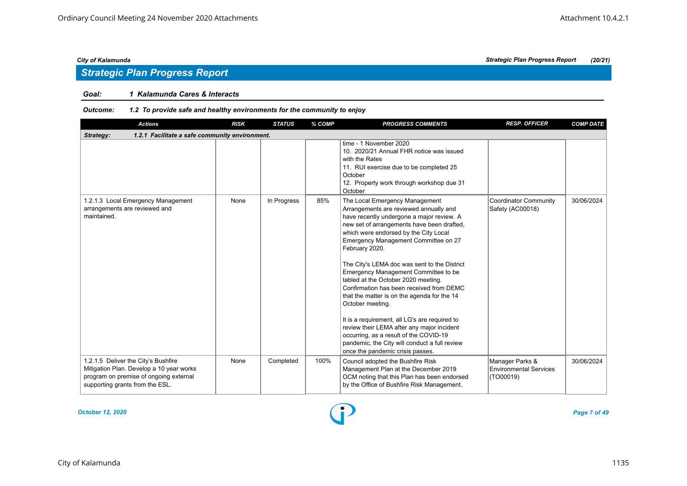### *Goal: 1 Kalamunda Cares & Interacts*

| <b>Actions</b>                                                                                                                                               | <b>RISK</b> | <b>STATUS</b> | % COMP | <b>PROGRESS COMMENTS</b>                                                                                                                                                                                                                                                                                                                                                                                                                                                                                                                                                                                                                                                                                                                           | <b>RESP. OFFICER</b>                                          | <b>COMP DATE</b> |  |  |
|--------------------------------------------------------------------------------------------------------------------------------------------------------------|-------------|---------------|--------|----------------------------------------------------------------------------------------------------------------------------------------------------------------------------------------------------------------------------------------------------------------------------------------------------------------------------------------------------------------------------------------------------------------------------------------------------------------------------------------------------------------------------------------------------------------------------------------------------------------------------------------------------------------------------------------------------------------------------------------------------|---------------------------------------------------------------|------------------|--|--|
| 1.2.1 Facilitate a safe community environment.<br>Strategy:                                                                                                  |             |               |        |                                                                                                                                                                                                                                                                                                                                                                                                                                                                                                                                                                                                                                                                                                                                                    |                                                               |                  |  |  |
|                                                                                                                                                              |             |               |        | time - 1 November 2020<br>10. 2020/21 Annual FHR notice was issued<br>with the Rates<br>11. RUI exercise due to be completed 25<br>October<br>12. Property work through workshop due 31<br>October                                                                                                                                                                                                                                                                                                                                                                                                                                                                                                                                                 |                                                               |                  |  |  |
| 1.2.1.3 Local Emergency Management<br>arrangements are reviewed and<br>maintained.                                                                           | None        | In Progress   | 85%    | The Local Emergency Management<br>Arrangements are reviewed annually and<br>have recently undergone a major review. A<br>new set of arrangements have been drafted,<br>which were endorsed by the City Local<br>Emergency Management Committee on 27<br>February 2020.<br>The City's LEMA doc was sent to the District<br>Emergency Management Committee to be<br>tabled at the October 2020 meeting.<br>Confirmation has been received from DEMC<br>that the matter is on the agenda for the 14<br>October meeting.<br>It is a requirement, all LG's are required to<br>review their LEMA after any major incident<br>occurring, as a result of the COVID-19<br>pandemic, the City will conduct a full review<br>once the pandemic crisis passes. | Coordinator Community<br>Safety (AC00018)                     | 30/06/2024       |  |  |
| 1.2.1.5 Deliver the City's Bushfire<br>Mitigation Plan. Develop a 10 year works<br>program on premise of ongoing external<br>supporting grants from the ESL. | None        | Completed     | 100%   | Council adopted the Bushfire Risk<br>Management Plan at the December 2019<br>OCM noting that this Plan has been endorsed<br>by the Office of Bushfire Risk Management.                                                                                                                                                                                                                                                                                                                                                                                                                                                                                                                                                                             | Manager Parks &<br><b>Environmental Services</b><br>(TO00019) | 30/06/2024       |  |  |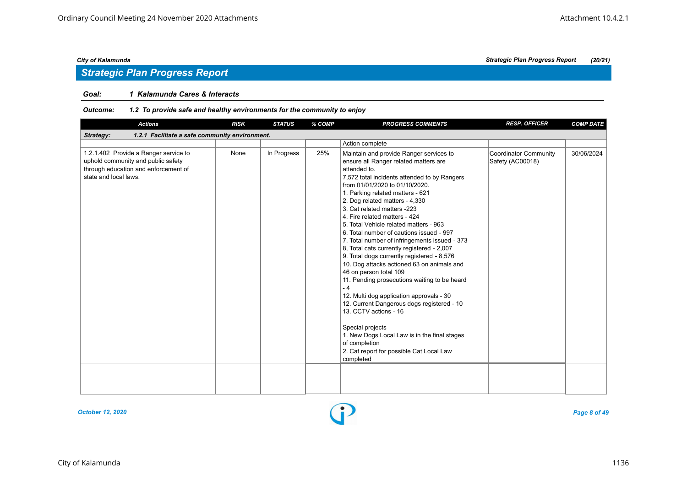## *Strategic Plan Progress Report*

#### *Goal: 1 Kalamunda Cares & Interacts*

| Maintain and provide Ranger services to<br><b>Coordinator Community</b><br>Safety (AC00018)<br>ensure all Ranger related matters are                                                                                                                                                                                                                                                                                                                                                                                                                                | 30/06/2024 |
|---------------------------------------------------------------------------------------------------------------------------------------------------------------------------------------------------------------------------------------------------------------------------------------------------------------------------------------------------------------------------------------------------------------------------------------------------------------------------------------------------------------------------------------------------------------------|------------|
|                                                                                                                                                                                                                                                                                                                                                                                                                                                                                                                                                                     |            |
|                                                                                                                                                                                                                                                                                                                                                                                                                                                                                                                                                                     |            |
| 7,572 total incidents attended to by Rangers<br>5. Total Vehicle related matters - 963<br>6. Total number of cautions issued - 997<br>7. Total number of infringements issued - 373<br>8, Total cats currently registered - 2,007<br>9. Total dogs currently registered - 8,576<br>10. Dog attacks actioned 63 on animals and<br>11. Pending prosecutions waiting to be heard<br>12. Multi dog application approvals - 30<br>12. Current Dangerous dogs registered - 10<br>1. New Dogs Local Law is in the final stages<br>2. Cat report for possible Cat Local Law |            |
|                                                                                                                                                                                                                                                                                                                                                                                                                                                                                                                                                                     |            |

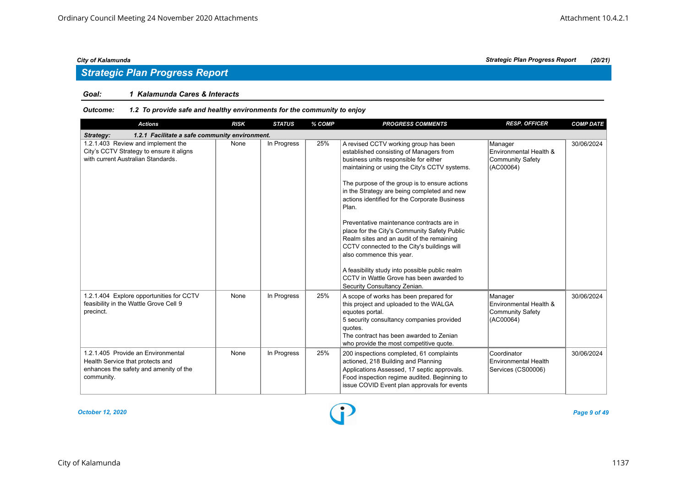## *Strategic Plan Progress Report*

#### *Goal: 1 Kalamunda Cares & Interacts*

### *Outcome: 1.2 To provide safe and healthy environments for the community to enjoy*

| <b>Actions</b>                                                                                                                 | <b>RISK</b> | <b>STATUS</b> | % COMP | <b>PROGRESS COMMENTS</b>                                                                                                                                                                                                                                                                                                                                                                                                                                                                                                                                                                                                                                                                | <b>RESP. OFFICER</b>                                                      | <b>COMP DATE</b> |
|--------------------------------------------------------------------------------------------------------------------------------|-------------|---------------|--------|-----------------------------------------------------------------------------------------------------------------------------------------------------------------------------------------------------------------------------------------------------------------------------------------------------------------------------------------------------------------------------------------------------------------------------------------------------------------------------------------------------------------------------------------------------------------------------------------------------------------------------------------------------------------------------------------|---------------------------------------------------------------------------|------------------|
| 1.2.1 Facilitate a safe community environment.<br>Strategy:                                                                    |             |               |        |                                                                                                                                                                                                                                                                                                                                                                                                                                                                                                                                                                                                                                                                                         |                                                                           |                  |
| 1.2.1.403 Review and implement the<br>City's CCTV Strategy to ensure it aligns<br>with current Australian Standards.           | None        | In Progress   | 25%    | A revised CCTV working group has been<br>established consisting of Managers from<br>business units responsible for either<br>maintaining or using the City's CCTV systems.<br>The purpose of the group is to ensure actions<br>in the Strategy are being completed and new<br>actions identified for the Corporate Business<br>Plan.<br>Preventative maintenance contracts are in<br>place for the City's Community Safety Public<br>Realm sites and an audit of the remaining<br>CCTV connected to the City's buildings will<br>also commence this year.<br>A feasibility study into possible public realm<br>CCTV in Wattle Grove has been awarded to<br>Security Consultancy Zenian. | Manager<br>Environmental Health &<br><b>Community Safety</b><br>(AC00064) | 30/06/2024       |
| 1.2.1.404 Explore opportunities for CCTV<br>feasibility in the Wattle Grove Cell 9<br>precinct.                                | None        | In Progress   | 25%    | A scope of works has been prepared for<br>this project and uploaded to the WALGA<br>equotes portal.<br>5 security consultancy companies provided<br>quotes.<br>The contract has been awarded to Zenian<br>who provide the most competitive quote.                                                                                                                                                                                                                                                                                                                                                                                                                                       | Manager<br>Environmental Health &<br><b>Community Safety</b><br>(AC00064) | 30/06/2024       |
| 1.2.1.405 Provide an Environmental<br>Health Service that protects and<br>enhances the safety and amenity of the<br>community. | None        | In Progress   | 25%    | 200 inspections completed, 61 complaints<br>actioned, 218 Building and Planning<br>Applications Assessed, 17 septic approvals.<br>Food inspection regime audited. Beginning to<br>issue COVID Event plan approvals for events                                                                                                                                                                                                                                                                                                                                                                                                                                                           | Coordinator<br>Environmental Health<br>Services (CS00006)                 | 30/06/2024       |

*October 12, 2020 Page 9 of 49*

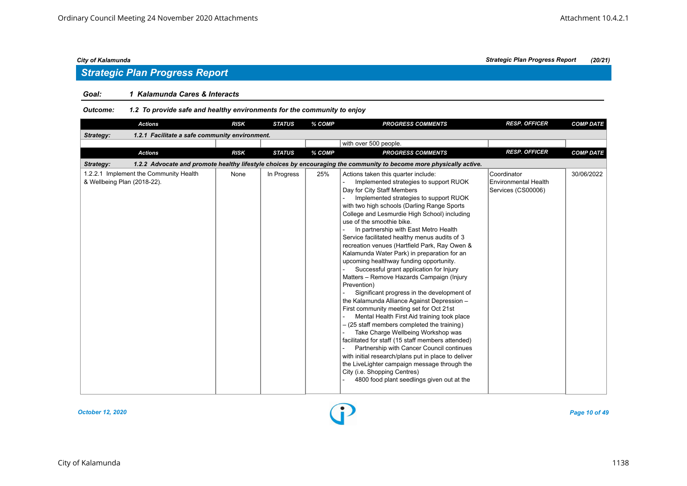## *Strategic Plan Progress Report*

### *Goal: 1 Kalamunda Cares & Interacts*

| <b>Actions</b>                                                        | <b>RISK</b> | <b>STATUS</b> | % COMP | <b>PROGRESS COMMENTS</b>                                                                                                                                                                                                                                                                                                                                                                                                                                                                                                                                                                                                                                                                                                                                                                                                                                                                                                                                                                                                                                                                                                                                                                          | <b>RESP. OFFICER</b>                                             | <b>COMP DATE</b> |
|-----------------------------------------------------------------------|-------------|---------------|--------|---------------------------------------------------------------------------------------------------------------------------------------------------------------------------------------------------------------------------------------------------------------------------------------------------------------------------------------------------------------------------------------------------------------------------------------------------------------------------------------------------------------------------------------------------------------------------------------------------------------------------------------------------------------------------------------------------------------------------------------------------------------------------------------------------------------------------------------------------------------------------------------------------------------------------------------------------------------------------------------------------------------------------------------------------------------------------------------------------------------------------------------------------------------------------------------------------|------------------------------------------------------------------|------------------|
| Strategy:<br>1.2.1 Facilitate a safe community environment.           |             |               |        |                                                                                                                                                                                                                                                                                                                                                                                                                                                                                                                                                                                                                                                                                                                                                                                                                                                                                                                                                                                                                                                                                                                                                                                                   |                                                                  |                  |
|                                                                       |             |               |        | with over 500 people.                                                                                                                                                                                                                                                                                                                                                                                                                                                                                                                                                                                                                                                                                                                                                                                                                                                                                                                                                                                                                                                                                                                                                                             |                                                                  |                  |
| <b>Actions</b>                                                        | <b>RISK</b> | <b>STATUS</b> | % COMP | <b>PROGRESS COMMENTS</b>                                                                                                                                                                                                                                                                                                                                                                                                                                                                                                                                                                                                                                                                                                                                                                                                                                                                                                                                                                                                                                                                                                                                                                          | <b>RESP. OFFICER</b>                                             | <b>COMP DATE</b> |
| Strategy:                                                             |             |               |        | 1.2.2 Advocate and promote healthy lifestyle choices by encouraging the community to become more physically active.                                                                                                                                                                                                                                                                                                                                                                                                                                                                                                                                                                                                                                                                                                                                                                                                                                                                                                                                                                                                                                                                               |                                                                  |                  |
| 1.2.2.1 Implement the Community Health<br>& Wellbeing Plan (2018-22). | None        | In Progress   | 25%    | Actions taken this quarter include:<br>Implemented strategies to support RUOK<br>Day for City Staff Members<br>Implemented strategies to support RUOK<br>with two high schools (Darling Range Sports<br>College and Lesmurdie High School) including<br>use of the smoothie bike.<br>In partnership with East Metro Health<br>Service facilitated healthy menus audits of 3<br>recreation venues (Hartfield Park, Ray Owen &<br>Kalamunda Water Park) in preparation for an<br>upcoming healthway funding opportunity.<br>Successful grant application for Injury<br>Matters - Remove Hazards Campaign (Injury<br>Prevention)<br>Significant progress in the development of<br>the Kalamunda Alliance Against Depression -<br>First community meeting set for Oct 21st<br>Mental Health First Aid training took place<br>- (25 staff members completed the training)<br>Take Charge Wellbeing Workshop was<br>facilitated for staff (15 staff members attended)<br>Partnership with Cancer Council continues<br>with initial research/plans put in place to deliver<br>the LiveLighter campaign message through the<br>City (i.e. Shopping Centres)<br>4800 food plant seedlings given out at the | Coordinator<br><b>Environmental Health</b><br>Services (CS00006) | 30/06/2022       |

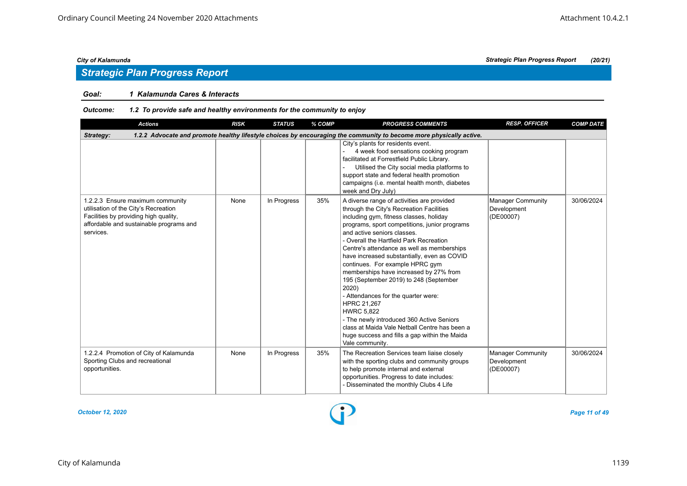## *Strategic Plan Progress Report*

### *Goal: 1 Kalamunda Cares & Interacts*

### *Outcome: 1.2 To provide safe and healthy environments for the community to enjoy*

| <b>Actions</b>                                                                                                                                                            | <b>RISK</b> | <b>STATUS</b> | % COMP | <b>PROGRESS COMMENTS</b>                                                                                                                                                                                                                                                                                                                                                                                                                                                                                                                                                                                                                                                                                                               | <b>RESP. OFFICER</b>                                 | <b>COMP DATE</b> |  |  |  |
|---------------------------------------------------------------------------------------------------------------------------------------------------------------------------|-------------|---------------|--------|----------------------------------------------------------------------------------------------------------------------------------------------------------------------------------------------------------------------------------------------------------------------------------------------------------------------------------------------------------------------------------------------------------------------------------------------------------------------------------------------------------------------------------------------------------------------------------------------------------------------------------------------------------------------------------------------------------------------------------------|------------------------------------------------------|------------------|--|--|--|
| 1.2.2 Advocate and promote healthy lifestyle choices by encouraging the community to become more physically active.<br>Strategy:                                          |             |               |        |                                                                                                                                                                                                                                                                                                                                                                                                                                                                                                                                                                                                                                                                                                                                        |                                                      |                  |  |  |  |
|                                                                                                                                                                           |             |               |        | City's plants for residents event.<br>4 week food sensations cooking program<br>facilitated at Forrestfield Public Library.<br>Utilised the City social media platforms to<br>support state and federal health promotion<br>campaigns (i.e. mental health month, diabetes<br>week and Dry July)                                                                                                                                                                                                                                                                                                                                                                                                                                        |                                                      |                  |  |  |  |
| 1.2.2.3 Ensure maximum community<br>utilisation of the City's Recreation<br>Facilities by providing high quality,<br>affordable and sustainable programs and<br>services. | None        | In Progress   | 35%    | A diverse range of activities are provided<br>through the City's Recreation Facilities<br>including gym, fitness classes, holiday<br>programs, sport competitions, junior programs<br>and active seniors classes.<br>- Overall the Hartfield Park Recreation<br>Centre's attendance as well as memberships<br>have increased substantially, even as COVID<br>continues. For example HPRC gym<br>memberships have increased by 27% from<br>195 (September 2019) to 248 (September<br>2020)<br>- Attendances for the quarter were:<br>HPRC 21,267<br><b>HWRC 5.822</b><br>- The newly introduced 360 Active Seniors<br>class at Maida Vale Netball Centre has been a<br>huge success and fills a gap within the Maida<br>Vale community. | <b>Manager Community</b><br>Development<br>(DE00007) | 30/06/2024       |  |  |  |
| 1.2.2.4 Promotion of City of Kalamunda<br>Sporting Clubs and recreational<br>opportunities.                                                                               | None        | In Progress   | 35%    | The Recreation Services team liaise closely<br>with the sporting clubs and community groups<br>to help promote internal and external<br>opportunities. Progress to date includes:<br>- Disseminated the monthly Clubs 4 Life                                                                                                                                                                                                                                                                                                                                                                                                                                                                                                           | Manager Community<br>Development<br>(DE00007)        | 30/06/2024       |  |  |  |

*October 12, 2020 Page 11 of 49*

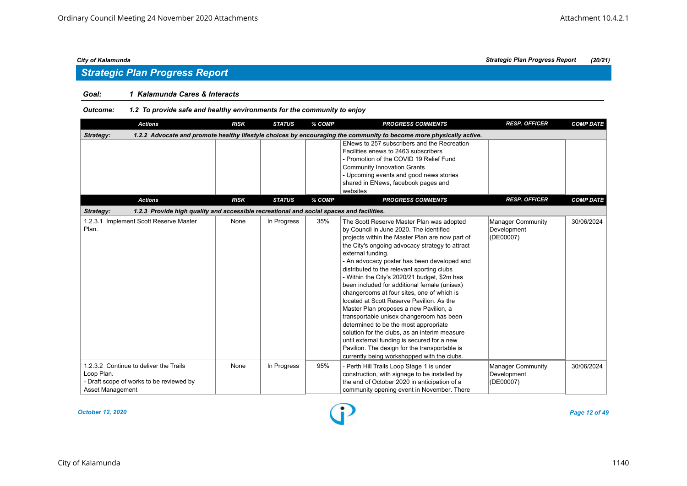## *Strategic Plan Progress Report*

### *Goal: 1 Kalamunda Cares & Interacts*

#### *Outcome: 1.2 To provide safe and healthy environments for the community to enjoy*

| <b>Actions</b>                                                                                                       | <b>RISK</b> | <b>STATUS</b> | % COMP | <b>PROGRESS COMMENTS</b>                                                                                                                                                                                                                                                                                                                                                                                                                                                                                                                                                                                                                                                                                                                                                                                                               | <b>RESP. OFFICER</b>                                 | <b>COMP DATE</b> |
|----------------------------------------------------------------------------------------------------------------------|-------------|---------------|--------|----------------------------------------------------------------------------------------------------------------------------------------------------------------------------------------------------------------------------------------------------------------------------------------------------------------------------------------------------------------------------------------------------------------------------------------------------------------------------------------------------------------------------------------------------------------------------------------------------------------------------------------------------------------------------------------------------------------------------------------------------------------------------------------------------------------------------------------|------------------------------------------------------|------------------|
| Strategy:                                                                                                            |             |               |        | 1.2.2 Advocate and promote healthy lifestyle choices by encouraging the community to become more physically active.                                                                                                                                                                                                                                                                                                                                                                                                                                                                                                                                                                                                                                                                                                                    |                                                      |                  |
|                                                                                                                      |             |               |        | ENews to 257 subscribers and the Recreation<br>Facilities enews to 2463 subscribers<br>- Promotion of the COVID 19 Relief Fund<br><b>Community Innovation Grants</b><br>- Upcoming events and good news stories<br>shared in ENews, facebook pages and<br>websites                                                                                                                                                                                                                                                                                                                                                                                                                                                                                                                                                                     |                                                      |                  |
| <b>Actions</b>                                                                                                       | <b>RISK</b> | <b>STATUS</b> | % COMP | <b>PROGRESS COMMENTS</b>                                                                                                                                                                                                                                                                                                                                                                                                                                                                                                                                                                                                                                                                                                                                                                                                               | <b>RESP. OFFICER</b>                                 | <b>COMP DATE</b> |
| 1.2.3 Provide high quality and accessible recreational and social spaces and facilities.<br>Strategy:                |             |               |        |                                                                                                                                                                                                                                                                                                                                                                                                                                                                                                                                                                                                                                                                                                                                                                                                                                        |                                                      |                  |
| 1.2.3.1 Implement Scott Reserve Master<br>Plan.                                                                      | None        | In Progress   | 35%    | The Scott Reserve Master Plan was adopted<br>by Council in June 2020. The identified<br>projects within the Master Plan are now part of<br>the City's ongoing advocacy strategy to attract<br>external funding.<br>- An advocacy poster has been developed and<br>distributed to the relevant sporting clubs<br>- Within the City's 2020/21 budget, \$2m has<br>been included for additional female (unisex)<br>changerooms at four sites, one of which is<br>located at Scott Reserve Pavilion. As the<br>Master Plan proposes a new Pavilion, a<br>transportable unisex changeroom has been<br>determined to be the most appropriate<br>solution for the clubs, as an interim measure<br>until external funding is secured for a new<br>Pavilion. The design for the transportable is<br>currently being workshopped with the clubs. | <b>Manager Community</b><br>Development<br>(DE00007) | 30/06/2024       |
| 1.2.3.2 Continue to deliver the Trails<br>Loop Plan.<br>- Draft scope of works to be reviewed by<br>Asset Management | None        | In Progress   | 95%    | - Perth Hill Trails Loop Stage 1 is under<br>construction, with signage to be installed by<br>the end of October 2020 in anticipation of a<br>community opening event in November. There                                                                                                                                                                                                                                                                                                                                                                                                                                                                                                                                                                                                                                               | <b>Manager Community</b><br>Development<br>(DE00007) | 30/06/2024       |

*October 12, 2020 Page 12 of 49*

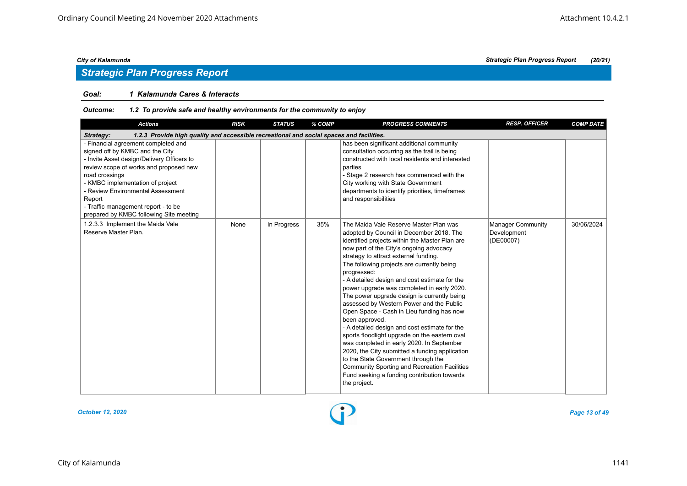## *Strategic Plan Progress Report*

#### *Goal: 1 Kalamunda Cares & Interacts*

| <b>Actions</b>                                                                                                                                                                                                                                                                                                                                        | <b>RISK</b> | <b>STATUS</b> | % COMP | <b>PROGRESS COMMENTS</b>                                                                                                                                                                                                                                                                                                                                                                                                                                                                                                                                                                                                                                                                                                                                                                                                                                                                                     | <b>RESP. OFFICER</b>                                 | <b>COMP DATE</b> |
|-------------------------------------------------------------------------------------------------------------------------------------------------------------------------------------------------------------------------------------------------------------------------------------------------------------------------------------------------------|-------------|---------------|--------|--------------------------------------------------------------------------------------------------------------------------------------------------------------------------------------------------------------------------------------------------------------------------------------------------------------------------------------------------------------------------------------------------------------------------------------------------------------------------------------------------------------------------------------------------------------------------------------------------------------------------------------------------------------------------------------------------------------------------------------------------------------------------------------------------------------------------------------------------------------------------------------------------------------|------------------------------------------------------|------------------|
| 1.2.3 Provide high quality and accessible recreational and social spaces and facilities.<br>Strategy:                                                                                                                                                                                                                                                 |             |               |        |                                                                                                                                                                                                                                                                                                                                                                                                                                                                                                                                                                                                                                                                                                                                                                                                                                                                                                              |                                                      |                  |
| - Financial agreement completed and<br>signed off by KMBC and the City<br>- Invite Asset design/Delivery Officers to<br>review scope of works and proposed new<br>road crossings<br>- KMBC implementation of project<br>- Review Environmental Assessment<br>Report<br>- Traffic management report - to be<br>prepared by KMBC following Site meeting |             |               |        | has been significant additional community<br>consultation occurring as the trail is being<br>constructed with local residents and interested<br>parties<br>- Stage 2 research has commenced with the<br>City working with State Government<br>departments to identify priorities, timeframes<br>and responsibilities                                                                                                                                                                                                                                                                                                                                                                                                                                                                                                                                                                                         |                                                      |                  |
| 1.2.3.3 Implement the Maida Vale<br>Reserve Master Plan.                                                                                                                                                                                                                                                                                              | None        | In Progress   | 35%    | The Maida Vale Reserve Master Plan was<br>adopted by Council in December 2018. The<br>identified projects within the Master Plan are<br>now part of the City's ongoing advocacy<br>strategy to attract external funding.<br>The following projects are currently being<br>progressed:<br>- A detailed design and cost estimate for the<br>power upgrade was completed in early 2020.<br>The power upgrade design is currently being<br>assessed by Western Power and the Public<br>Open Space - Cash in Lieu funding has now<br>been approved.<br>- A detailed design and cost estimate for the<br>sports floodlight upgrade on the eastern oval<br>was completed in early 2020. In September<br>2020, the City submitted a funding application<br>to the State Government through the<br><b>Community Sporting and Recreation Facilities</b><br>Fund seeking a funding contribution towards<br>the project. | <b>Manager Community</b><br>Development<br>(DE00007) | 30/06/2024       |

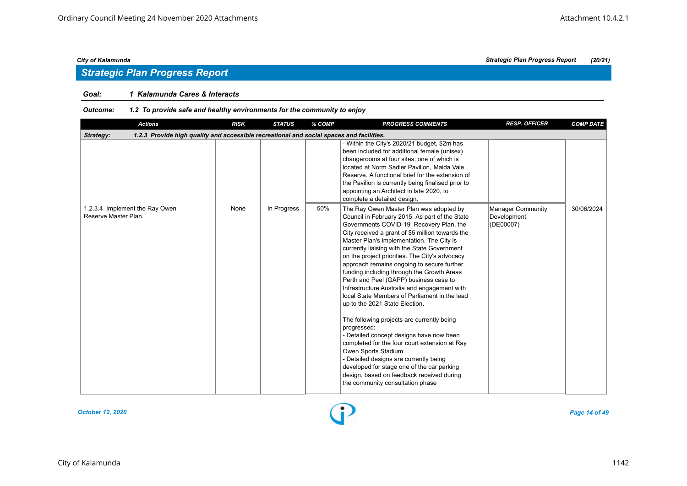## *Strategic Plan Progress Report*

### *Goal: 1 Kalamunda Cares & Interacts*

| <b>Actions</b>                                                                                        | <b>RISK</b> | <b>STATUS</b> | % COMP | <b>PROGRESS COMMENTS</b>                                                                                                                                                                                                                                                                                                                                                                                                                                                                                                                                                                                                                                                                                                                                                                                                                                                                                                                                                   | <b>RESP. OFFICER</b>                                 | <b>COMP DATE</b> |
|-------------------------------------------------------------------------------------------------------|-------------|---------------|--------|----------------------------------------------------------------------------------------------------------------------------------------------------------------------------------------------------------------------------------------------------------------------------------------------------------------------------------------------------------------------------------------------------------------------------------------------------------------------------------------------------------------------------------------------------------------------------------------------------------------------------------------------------------------------------------------------------------------------------------------------------------------------------------------------------------------------------------------------------------------------------------------------------------------------------------------------------------------------------|------------------------------------------------------|------------------|
| 1.2.3 Provide high quality and accessible recreational and social spaces and facilities.<br>Strategy: |             |               |        |                                                                                                                                                                                                                                                                                                                                                                                                                                                                                                                                                                                                                                                                                                                                                                                                                                                                                                                                                                            |                                                      |                  |
|                                                                                                       |             |               |        | - Within the City's 2020/21 budget, \$2m has<br>been included for additional female (unisex)<br>changerooms at four sites, one of which is<br>located at Norm Sadler Pavilion, Maida Vale<br>Reserve. A functional brief for the extension of<br>the Pavilion is currently being finalised prior to<br>appointing an Architect in late 2020, to<br>complete a detailed design.                                                                                                                                                                                                                                                                                                                                                                                                                                                                                                                                                                                             |                                                      |                  |
| 1.2.3.4 Implement the Ray Owen<br>Reserve Master Plan.                                                | None        | In Progress   | 50%    | The Ray Owen Master Plan was adopted by<br>Council in February 2015. As part of the State<br>Governments COVID-19 Recovery Plan, the<br>City received a grant of \$5 million towards the<br>Master Plan's implementation. The City is<br>currently liaising with the State Government<br>on the project priorities. The City's advocacy<br>approach remains ongoing to secure further<br>funding including through the Growth Areas<br>Perth and Peel (GAPP) business case to<br>Infrastructure Australia and engagement with<br>local State Members of Parliament in the lead<br>up to the 2021 State Election.<br>The following projects are currently being<br>progressed:<br>- Detailed concept designs have now been<br>completed for the four court extension at Ray<br>Owen Sports Stadium<br>- Detailed designs are currently being<br>developed for stage one of the car parking<br>design, based on feedback received during<br>the community consultation phase | <b>Manager Community</b><br>Development<br>(DE00007) | 30/06/2024       |

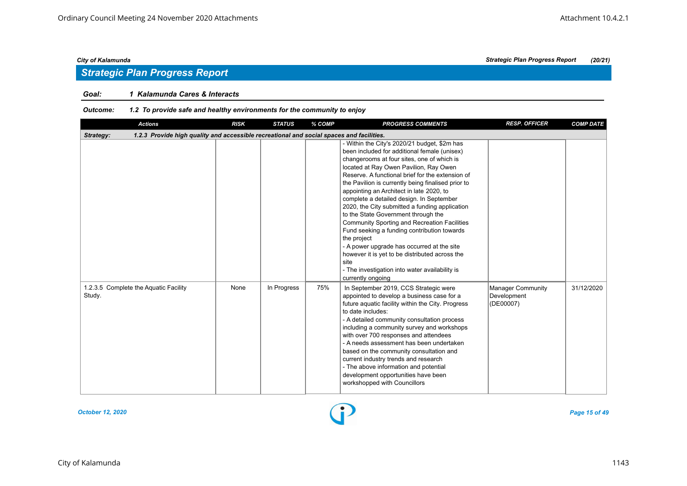## *Strategic Plan Progress Report*

### *Goal: 1 Kalamunda Cares & Interacts*

| <b>Actions</b>                                                                                        | <b>RISK</b> | <b>STATUS</b> | % COMP | <b>PROGRESS COMMENTS</b>                                                                                                                                                                                                                                                                                                                                                                                                                                                                                                                                                                                                                                                                                                                                                            | <b>RESP. OFFICER</b>                          | <b>COMP DATE</b> |
|-------------------------------------------------------------------------------------------------------|-------------|---------------|--------|-------------------------------------------------------------------------------------------------------------------------------------------------------------------------------------------------------------------------------------------------------------------------------------------------------------------------------------------------------------------------------------------------------------------------------------------------------------------------------------------------------------------------------------------------------------------------------------------------------------------------------------------------------------------------------------------------------------------------------------------------------------------------------------|-----------------------------------------------|------------------|
| 1.2.3 Provide high quality and accessible recreational and social spaces and facilities.<br>Strategy: |             |               |        |                                                                                                                                                                                                                                                                                                                                                                                                                                                                                                                                                                                                                                                                                                                                                                                     |                                               |                  |
|                                                                                                       |             |               |        | - Within the City's 2020/21 budget, \$2m has<br>been included for additional female (unisex)<br>changerooms at four sites, one of which is<br>located at Ray Owen Pavilion, Ray Owen<br>Reserve. A functional brief for the extension of<br>the Pavilion is currently being finalised prior to<br>appointing an Architect in late 2020, to<br>complete a detailed design. In September<br>2020, the City submitted a funding application<br>to the State Government through the<br><b>Community Sporting and Recreation Facilities</b><br>Fund seeking a funding contribution towards<br>the project<br>- A power upgrade has occurred at the site<br>however it is yet to be distributed across the<br>site<br>- The investigation into water availability is<br>currently ongoing |                                               |                  |
| 1.2.3.5 Complete the Aquatic Facility<br>Study.                                                       | None        | In Progress   | 75%    | In September 2019, CCS Strategic were<br>appointed to develop a business case for a<br>future aquatic facility within the City. Progress<br>to date includes:<br>- A detailed community consultation process<br>including a community survey and workshops<br>with over 700 responses and attendees<br>- A needs assessment has been undertaken<br>based on the community consultation and<br>current industry trends and research<br>- The above information and potential<br>development opportunities have been<br>workshopped with Councillors                                                                                                                                                                                                                                  | Manager Community<br>Development<br>(DE00007) | 31/12/2020       |

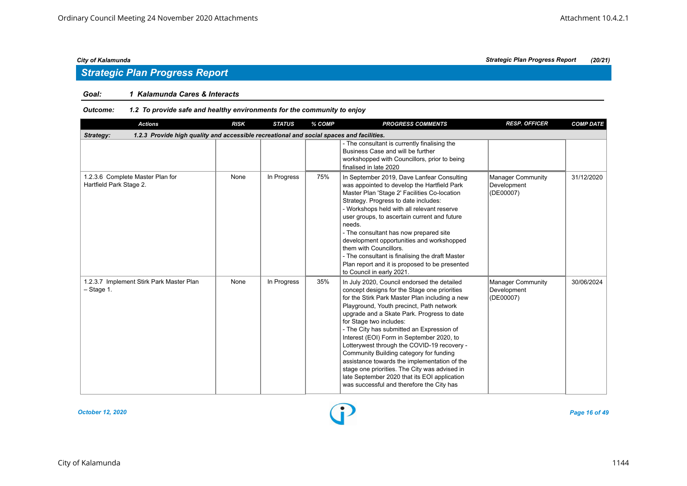## *Strategic Plan Progress Report*

### *Goal: 1 Kalamunda Cares & Interacts*

| <b>Actions</b>                                                                                        | <b>RISK</b> | <b>STATUS</b> | % COMP | <b>PROGRESS COMMENTS</b>                                                                                                                                                                                                                                                                                                                                                                                                                                                                                                                                                                                                                             | <b>RESP. OFFICER</b>                                 | <b>COMP DATE</b> |
|-------------------------------------------------------------------------------------------------------|-------------|---------------|--------|------------------------------------------------------------------------------------------------------------------------------------------------------------------------------------------------------------------------------------------------------------------------------------------------------------------------------------------------------------------------------------------------------------------------------------------------------------------------------------------------------------------------------------------------------------------------------------------------------------------------------------------------------|------------------------------------------------------|------------------|
| 1.2.3 Provide high quality and accessible recreational and social spaces and facilities.<br>Strategy: |             |               |        |                                                                                                                                                                                                                                                                                                                                                                                                                                                                                                                                                                                                                                                      |                                                      |                  |
|                                                                                                       |             |               |        | - The consultant is currently finalising the<br>Business Case and will be further<br>workshopped with Councillors, prior to being<br>finalised in late 2020                                                                                                                                                                                                                                                                                                                                                                                                                                                                                          |                                                      |                  |
| 1.2.3.6 Complete Master Plan for<br>Hartfield Park Stage 2.                                           | None        | In Progress   | 75%    | In September 2019, Dave Lanfear Consulting<br>was appointed to develop the Hartfield Park<br>Master Plan 'Stage 2' Facilities Co-location<br>Strategy. Progress to date includes:<br>- Workshops held with all relevant reserve<br>user groups, to ascertain current and future<br>needs.<br>- The consultant has now prepared site<br>development opportunities and workshopped<br>them with Councillors.<br>- The consultant is finalising the draft Master<br>Plan report and it is proposed to be presented<br>to Council in early 2021.                                                                                                         | Manager Community<br>Development<br>(DE00007)        | 31/12/2020       |
| 1.2.3.7 Implement Stirk Park Master Plan<br>$-$ Stage 1.                                              | None        | In Progress   | 35%    | In July 2020, Council endorsed the detailed<br>concept designs for the Stage one priorities<br>for the Stirk Park Master Plan including a new<br>Playground, Youth precinct, Path network<br>upgrade and a Skate Park. Progress to date<br>for Stage two includes:<br>- The City has submitted an Expression of<br>Interest (EOI) Form in September 2020, to<br>Lotterywest through the COVID-19 recovery -<br>Community Building category for funding<br>assistance towards the implementation of the<br>stage one priorities. The City was advised in<br>late September 2020 that its EOI application<br>was successful and therefore the City has | <b>Manager Community</b><br>Development<br>(DE00007) | 30/06/2024       |

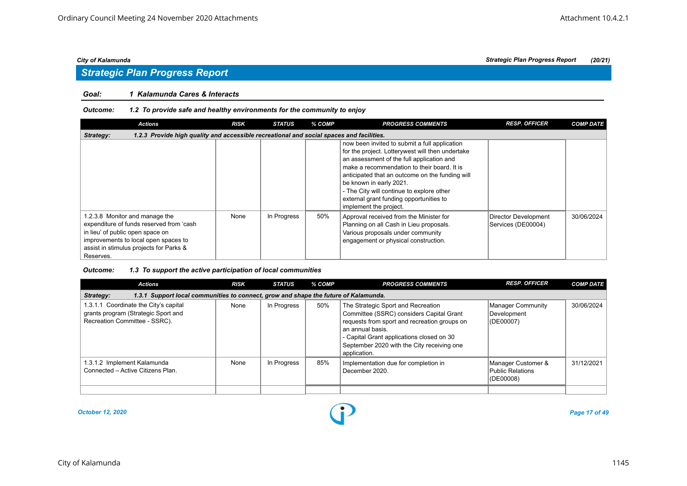#### *Goal: 1 Kalamunda Cares & Interacts*

#### *Outcome: 1.2 To provide safe and healthy environments for the community to enjoy*

| <b>Actions</b>                                                                                                                                                                                                 | <b>RISK</b> | <b>STATUS</b> | % COMP | <b>PROGRESS COMMENTS</b>                                                                                                                                                                                                                                                                                                                                                                      | <b>RESP. OFFICER</b>                       | <b>COMP DATE</b> |
|----------------------------------------------------------------------------------------------------------------------------------------------------------------------------------------------------------------|-------------|---------------|--------|-----------------------------------------------------------------------------------------------------------------------------------------------------------------------------------------------------------------------------------------------------------------------------------------------------------------------------------------------------------------------------------------------|--------------------------------------------|------------------|
| 1.2.3 Provide high quality and accessible recreational and social spaces and facilities.<br>Strategy:                                                                                                          |             |               |        |                                                                                                                                                                                                                                                                                                                                                                                               |                                            |                  |
|                                                                                                                                                                                                                |             |               |        | now been invited to submit a full application<br>for the project. Lotterywest will then undertake<br>an assessment of the full application and<br>make a recommendation to their board. It is<br>anticipated that an outcome on the funding will<br>be known in early 2021.<br>- The City will continue to explore other<br>external grant funding opportunities to<br>implement the project. |                                            |                  |
| 1.2.3.8 Monitor and manage the<br>expenditure of funds reserved from 'cash<br>in lieu' of public open space on<br>improvements to local open spaces to<br>assist in stimulus projects for Parks &<br>Reserves. | None        | In Progress   | 50%    | Approval received from the Minister for<br>Planning on all Cash in Lieu proposals.<br>Various proposals under community<br>engagement or physical construction.                                                                                                                                                                                                                               | Director Development<br>Services (DE00004) | 30/06/2024       |

| <b>Actions</b>                                                                                                | <b>RISK</b> | <b>STATUS</b> | % COMP | <b>PROGRESS COMMENTS</b>                                                                                                                                                                                                                                      | <b>RESP. OFFICER</b>                                | <b>COMP DATE</b> |
|---------------------------------------------------------------------------------------------------------------|-------------|---------------|--------|---------------------------------------------------------------------------------------------------------------------------------------------------------------------------------------------------------------------------------------------------------------|-----------------------------------------------------|------------------|
| 1.3.1 Support local communities to connect, grow and shape the future of Kalamunda.<br>Strategy:              |             |               |        |                                                                                                                                                                                                                                                               |                                                     |                  |
| 1.3.1.1 Coordinate the City's capital<br>grants program (Strategic Sport and<br>Recreation Committee - SSRC). | None        | In Progress   | 50%    | The Strategic Sport and Recreation<br>Committee (SSRC) considers Capital Grant<br>requests from sport and recreation groups on<br>an annual basis.<br>- Capital Grant applications closed on 30<br>September 2020 with the City receiving one<br>application. | Manager Community<br>Development<br>(DE00007)       | 30/06/2024       |
| 1.3.1.2 Implement Kalamunda<br>Connected - Active Citizens Plan.                                              | None        | In Progress   | 85%    | Implementation due for completion in<br>December 2020.                                                                                                                                                                                                        | Manager Customer &<br>Public Relations<br>(DE00008) | 31/12/2021       |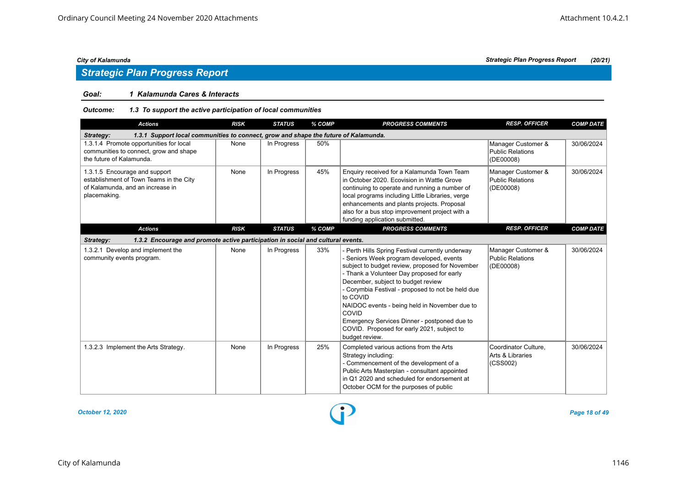### *Goal: 1 Kalamunda Cares & Interacts*

### *Outcome: 1.3 To support the active participation of local communities*

| <b>Actions</b>                                                                                                               | <b>RISK</b> | <b>STATUS</b> | % COMP | <b>PROGRESS COMMENTS</b>                                                                                                                                                                                                                                                                                                                                                                                                                                                       | <b>RESP. OFFICER</b>                                       | <b>COMP DATE</b> |
|------------------------------------------------------------------------------------------------------------------------------|-------------|---------------|--------|--------------------------------------------------------------------------------------------------------------------------------------------------------------------------------------------------------------------------------------------------------------------------------------------------------------------------------------------------------------------------------------------------------------------------------------------------------------------------------|------------------------------------------------------------|------------------|
| 1.3.1 Support local communities to connect, grow and shape the future of Kalamunda.<br>Strategy:                             |             |               |        |                                                                                                                                                                                                                                                                                                                                                                                                                                                                                |                                                            |                  |
| 1.3.1.4 Promote opportunities for local<br>communities to connect, grow and shape<br>the future of Kalamunda.                | None        | In Progress   | 50%    |                                                                                                                                                                                                                                                                                                                                                                                                                                                                                | Manager Customer &<br><b>Public Relations</b><br>(DE00008) | 30/06/2024       |
| 1.3.1.5 Encourage and support<br>establishment of Town Teams in the City<br>of Kalamunda, and an increase in<br>placemaking. | None        | In Progress   | 45%    | Enquiry received for a Kalamunda Town Team<br>in October 2020. Ecovision in Wattle Grove<br>continuing to operate and running a number of<br>local programs including Little Libraries, verge<br>enhancements and plants projects. Proposal<br>also for a bus stop improvement project with a<br>funding application submitted.                                                                                                                                                | Manager Customer &<br><b>Public Relations</b><br>(DE00008) | 30/06/2024       |
| <b>Actions</b>                                                                                                               | <b>RISK</b> | <b>STATUS</b> | % COMP | <b>PROGRESS COMMENTS</b>                                                                                                                                                                                                                                                                                                                                                                                                                                                       | <b>RESP. OFFICER</b>                                       | <b>COMP DATE</b> |
| 1.3.2 Encourage and promote active participation in social and cultural events.<br>Strategy:                                 |             |               |        |                                                                                                                                                                                                                                                                                                                                                                                                                                                                                |                                                            |                  |
| 1.3.2.1 Develop and implement the<br>community events program.                                                               | None        | In Progress   | 33%    | - Perth Hills Spring Festival currently underway<br>- Seniors Week program developed, events<br>subject to budget review, proposed for November<br>- Thank a Volunteer Day proposed for early<br>December, subject to budget review<br>- Corymbia Festival - proposed to not be held due<br>to COVID<br>NAIDOC events - being held in November due to<br>COVID<br>Emergency Services Dinner - postponed due to<br>COVID. Proposed for early 2021, subject to<br>budget review. | Manager Customer &<br><b>Public Relations</b><br>(DE00008) | 30/06/2024       |
| 1.3.2.3 Implement the Arts Strategy.                                                                                         | None        | In Progress   | 25%    | Completed various actions from the Arts<br>Strategy including:<br>- Commencement of the development of a<br>Public Arts Masterplan - consultant appointed<br>in Q1 2020 and scheduled for endorsement at<br>October OCM for the purposes of public                                                                                                                                                                                                                             | Coordinator Culture.<br>Arts & Libraries<br>(CSS002)       | 30/06/2024       |

*October 12, 2020 Page 18 of 49*

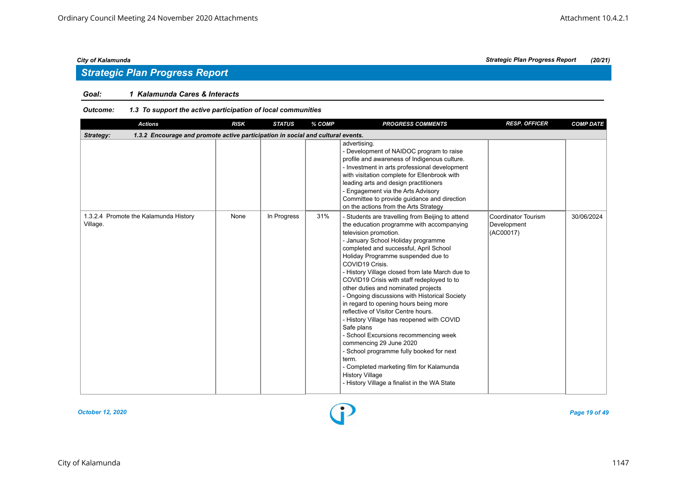## *Strategic Plan Progress Report*

### *Goal: 1 Kalamunda Cares & Interacts*

| <b>Actions</b>                                                                               | <b>RISK</b> | <b>STATUS</b> | % COMP | <b>PROGRESS COMMENTS</b>                                                                                                                                                                                                                                                                                                                                                                                                                                                                                                                                                                                                                                                                                                                                                                                                                           | <b>RESP. OFFICER</b>                                   | <b>COMP DATE</b> |
|----------------------------------------------------------------------------------------------|-------------|---------------|--------|----------------------------------------------------------------------------------------------------------------------------------------------------------------------------------------------------------------------------------------------------------------------------------------------------------------------------------------------------------------------------------------------------------------------------------------------------------------------------------------------------------------------------------------------------------------------------------------------------------------------------------------------------------------------------------------------------------------------------------------------------------------------------------------------------------------------------------------------------|--------------------------------------------------------|------------------|
| 1.3.2 Encourage and promote active participation in social and cultural events.<br>Strategy: |             |               |        |                                                                                                                                                                                                                                                                                                                                                                                                                                                                                                                                                                                                                                                                                                                                                                                                                                                    |                                                        |                  |
|                                                                                              |             |               |        | advertising.<br>- Development of NAIDOC program to raise<br>profile and awareness of Indigenous culture.<br>- Investment in arts professional development<br>with visitation complete for Ellenbrook with<br>leading arts and design practitioners<br>- Engagement via the Arts Advisory<br>Committee to provide guidance and direction<br>on the actions from the Arts Strategy                                                                                                                                                                                                                                                                                                                                                                                                                                                                   |                                                        |                  |
| 1.3.2.4 Promote the Kalamunda History<br>Village.                                            | None        | In Progress   | 31%    | - Students are travelling from Beijing to attend<br>the education programme with accompanying<br>television promotion.<br>- January School Holiday programme<br>completed and successful, April School<br>Holiday Programme suspended due to<br>COVID19 Crisis.<br>- History Village closed from late March due to<br>COVID19 Crisis with staff redeployed to to<br>other duties and nominated projects<br>- Ongoing discussions with Historical Society<br>in regard to opening hours being more<br>reflective of Visitor Centre hours.<br>- History Village has reopened with COVID<br>Safe plans<br>- School Excursions recommencing week<br>commencing 29 June 2020<br>- School programme fully booked for next<br>term.<br>- Completed marketing film for Kalamunda<br><b>History Village</b><br>- History Village a finalist in the WA State | <b>Coordinator Tourism</b><br>Development<br>(AC00017) | 30/06/2024       |

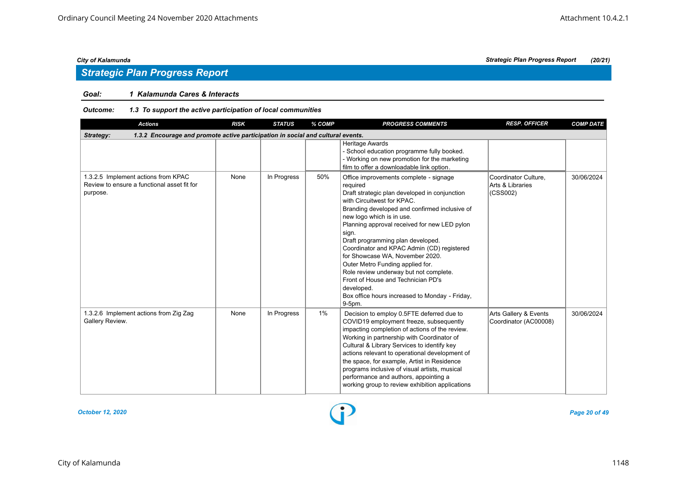### *Goal: 1 Kalamunda Cares & Interacts*

| <b>Actions</b>                                                                                 | <b>RISK</b> | <b>STATUS</b> | % COMP | <b>PROGRESS COMMENTS</b>                                                                                                                                                                                                                                                                                                                                                                                                                                                                                                                                                                     | <b>RESP. OFFICER</b>                                 | <b>COMP DATE</b> |
|------------------------------------------------------------------------------------------------|-------------|---------------|--------|----------------------------------------------------------------------------------------------------------------------------------------------------------------------------------------------------------------------------------------------------------------------------------------------------------------------------------------------------------------------------------------------------------------------------------------------------------------------------------------------------------------------------------------------------------------------------------------------|------------------------------------------------------|------------------|
| 1.3.2 Encourage and promote active participation in social and cultural events.<br>Strategy:   |             |               |        |                                                                                                                                                                                                                                                                                                                                                                                                                                                                                                                                                                                              |                                                      |                  |
|                                                                                                |             |               |        | Heritage Awards<br>- School education programme fully booked.<br>- Working on new promotion for the marketing<br>film to offer a downloadable link option.                                                                                                                                                                                                                                                                                                                                                                                                                                   |                                                      |                  |
| 1.3.2.5 Implement actions from KPAC<br>Review to ensure a functional asset fit for<br>purpose. | None        | In Progress   | 50%    | Office improvements complete - signage<br>required<br>Draft strategic plan developed in conjunction<br>with Circuitwest for KPAC.<br>Branding developed and confirmed inclusive of<br>new logo which is in use.<br>Planning approval received for new LED pylon<br>sign.<br>Draft programming plan developed.<br>Coordinator and KPAC Admin (CD) registered<br>for Showcase WA. November 2020.<br>Outer Metro Funding applied for.<br>Role review underway but not complete.<br>Front of House and Technician PD's<br>developed.<br>Box office hours increased to Monday - Friday,<br>9-5pm. | Coordinator Culture,<br>Arts & Libraries<br>(CSS002) | 30/06/2024       |
| 1.3.2.6 Implement actions from Zig Zag<br>Gallery Review.                                      | None        | In Progress   | 1%     | Decision to employ 0.5FTE deferred due to<br>COVID19 employment freeze, subsequently<br>impacting completion of actions of the review.<br>Working in partnership with Coordinator of<br>Cultural & Library Services to identify key<br>actions relevant to operational development of<br>the space, for example, Artist in Residence<br>programs inclusive of visual artists, musical<br>performance and authors, appointing a<br>working group to review exhibition applications                                                                                                            | Arts Gallery & Events<br>Coordinator (AC00008)       | 30/06/2024       |

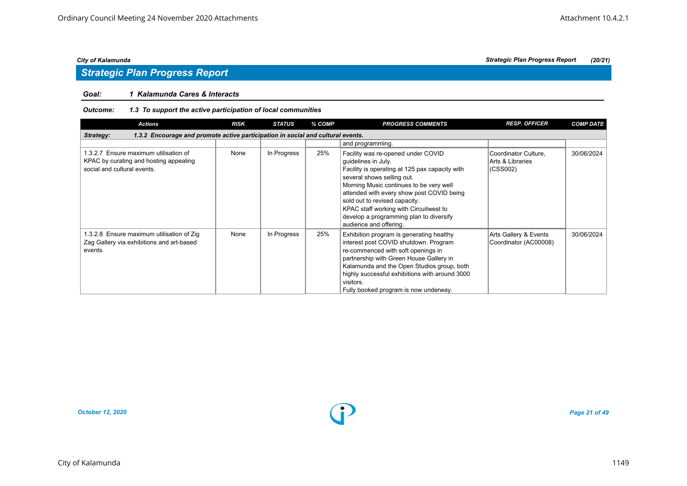### *Goal: 1 Kalamunda Cares & Interacts*

| <b>Actions</b>                                                                                                 | <b>RISK</b> | <b>STATUS</b> | % COMP | <b>PROGRESS COMMENTS</b>                                                                                                                                                                                                                                                                                                                                                          | <b>RESP. OFFICER</b>                                 | <b>COMP DATE</b> |
|----------------------------------------------------------------------------------------------------------------|-------------|---------------|--------|-----------------------------------------------------------------------------------------------------------------------------------------------------------------------------------------------------------------------------------------------------------------------------------------------------------------------------------------------------------------------------------|------------------------------------------------------|------------------|
| 1.3.2 Encourage and promote active participation in social and cultural events.<br>Strategy:                   |             |               |        |                                                                                                                                                                                                                                                                                                                                                                                   |                                                      |                  |
|                                                                                                                |             |               |        | and programming.                                                                                                                                                                                                                                                                                                                                                                  |                                                      |                  |
| 1.3.2.7 Ensure maximum utilisation of<br>KPAC by curating and hosting appealing<br>social and cultural events. | None        | In Progress   | 25%    | Facility was re-opened under COVID<br>guidelines in July.<br>Facility is operating at 125 pax capacity with<br>several shows selling out.<br>Morning Music continues to be very well<br>attended with every show post COVID being<br>sold out to revised capacity.<br>KPAC staff working with Circuitwest to<br>develop a programming plan to diversify<br>audience and offering. | Coordinator Culture,<br>Arts & Libraries<br>(CSS002) | 30/06/2024       |
| 1.3.2.8 Ensure maximum utilisation of Zig<br>Zag Gallery via exhibitions and art-based<br>events.              | None        | In Progress   | 25%    | Exhibition program is generating healthy<br>interest post COVID shutdown. Program<br>re-commenced with soft openings in<br>partnership with Green House Gallery in<br>Kalamunda and the Open Studios group, both<br>highly successful exhibitions with around 3000<br>visitors.<br>Fully booked program is now underway.                                                          | Arts Gallery & Events<br>Coordinator (AC00008)       | 30/06/2024       |

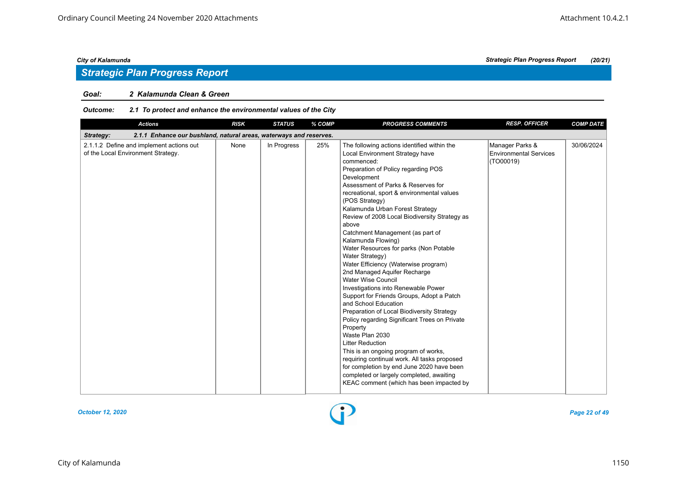## *Strategic Plan Progress Report*

### *Goal: 2 Kalamunda Clean & Green*

| Outcome: | 2.1 To protect and enhance the environmental values of the City |
|----------|-----------------------------------------------------------------|
|----------|-----------------------------------------------------------------|

| <b>Actions</b>                                                                  | <b>RISK</b> | <b>STATUS</b> | % COMP | <b>PROGRESS COMMENTS</b>                                                                                                                                                                                                                                                                                                                                                                                                                                                                                                                                                                                                                                                                                                                                                                                                                                                                                                                                                                                                                                                            | <b>RESP. OFFICER</b>                                          | <b>COMP DATE</b> |
|---------------------------------------------------------------------------------|-------------|---------------|--------|-------------------------------------------------------------------------------------------------------------------------------------------------------------------------------------------------------------------------------------------------------------------------------------------------------------------------------------------------------------------------------------------------------------------------------------------------------------------------------------------------------------------------------------------------------------------------------------------------------------------------------------------------------------------------------------------------------------------------------------------------------------------------------------------------------------------------------------------------------------------------------------------------------------------------------------------------------------------------------------------------------------------------------------------------------------------------------------|---------------------------------------------------------------|------------------|
| 2.1.1 Enhance our bushland, natural areas, waterways and reserves.<br>Strategy: |             |               |        |                                                                                                                                                                                                                                                                                                                                                                                                                                                                                                                                                                                                                                                                                                                                                                                                                                                                                                                                                                                                                                                                                     |                                                               |                  |
| 2.1.1.2 Define and implement actions out<br>of the Local Environment Strategy.  | None        | In Progress   | 25%    | The following actions identified within the<br>Local Environment Strategy have<br>commenced:<br>Preparation of Policy regarding POS<br>Development<br>Assessment of Parks & Reserves for<br>recreational, sport & environmental values<br>(POS Strategy)<br>Kalamunda Urban Forest Strategy<br>Review of 2008 Local Biodiversity Strategy as<br>above<br>Catchment Management (as part of<br>Kalamunda Flowing)<br>Water Resources for parks (Non Potable<br>Water Strategy)<br>Water Efficiency (Waterwise program)<br>2nd Managed Aquifer Recharge<br><b>Water Wise Council</b><br>Investigations into Renewable Power<br>Support for Friends Groups, Adopt a Patch<br>and School Education<br>Preparation of Local Biodiversity Strategy<br>Policy regarding Significant Trees on Private<br>Property<br>Waste Plan 2030<br><b>Litter Reduction</b><br>This is an ongoing program of works,<br>requiring continual work. All tasks proposed<br>for completion by end June 2020 have been<br>completed or largely completed, awaiting<br>KEAC comment (which has been impacted by | Manager Parks &<br><b>Environmental Services</b><br>(TO00019) | 30/06/2024       |

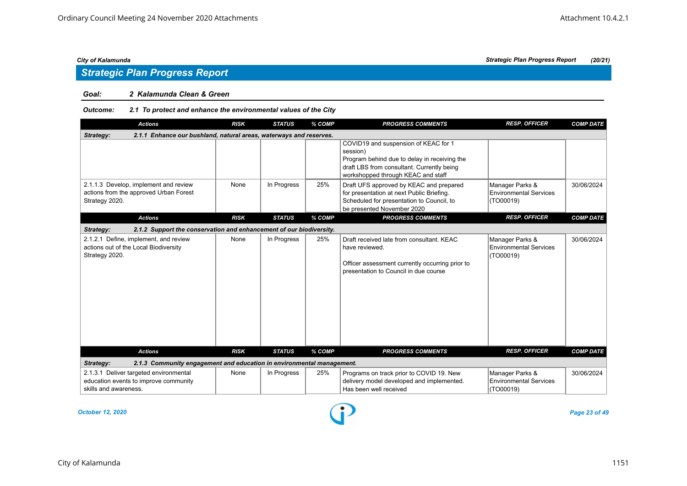## *Strategic Plan Progress Report*

#### *Goal: 2 Kalamunda Clean & Green*

#### *Outcome: 2.1 To protect and enhance the environmental values of the City*

| <b>Actions</b>                                                                                           | <b>RISK</b> | <b>STATUS</b> | % COMP | <b>PROGRESS COMMENTS</b>                                                                                                                                                             | <b>RESP. OFFICER</b>                                          | <b>COMP DATE</b> |
|----------------------------------------------------------------------------------------------------------|-------------|---------------|--------|--------------------------------------------------------------------------------------------------------------------------------------------------------------------------------------|---------------------------------------------------------------|------------------|
| 2.1.1 Enhance our bushland, natural areas, waterways and reserves.<br>Strategy:                          |             |               |        |                                                                                                                                                                                      |                                                               |                  |
|                                                                                                          |             |               |        | COVID19 and suspension of KEAC for 1<br>session)<br>Program behind due to delay in receiving the<br>draft LBS from consultant. Currently being<br>workshopped through KEAC and staff |                                                               |                  |
| 2.1.1.3 Develop, implement and review<br>actions from the approved Urban Forest<br>Strategy 2020.        | None        | In Progress   | 25%    | Draft UFS approved by KEAC and prepared<br>for presentation at next Public Briefing.<br>Scheduled for presentation to Council, to<br>be presented November 2020                      | Manager Parks &<br><b>Environmental Services</b><br>(TO00019) | 30/06/2024       |
| <b>Actions</b>                                                                                           | <b>RISK</b> | <b>STATUS</b> | % COMP | <b>PROGRESS COMMENTS</b>                                                                                                                                                             | <b>RESP. OFFICER</b>                                          | <b>COMP DATE</b> |
| 2.1.2 Support the conservation and enhancement of our biodiversity.<br>Strategy:                         |             |               |        |                                                                                                                                                                                      |                                                               |                  |
| 2.1.2.1 Define, implement, and review<br>actions out of the Local Biodiversity<br>Strategy 2020.         | None        | In Progress   | 25%    | Draft received late from consultant. KEAC<br>have reviewed.<br>Officer assessment currently occurring prior to<br>presentation to Council in due course                              | Manager Parks &<br><b>Environmental Services</b><br>(TO00019) | 30/06/2024       |
| <b>Actions</b>                                                                                           | <b>RISK</b> | <b>STATUS</b> | % COMP | <b>PROGRESS COMMENTS</b>                                                                                                                                                             | <b>RESP. OFFICER</b>                                          | <b>COMP DATE</b> |
| 2.1.3 Community engagement and education in environmental management.<br>Strategy:                       |             |               |        |                                                                                                                                                                                      |                                                               |                  |
| 2.1.3.1 Deliver targeted environmental<br>education events to improve community<br>skills and awareness. | None        | In Progress   | 25%    | Programs on track prior to COVID 19. New<br>delivery model developed and implemented.<br>Has been well received                                                                      | Manager Parks &<br><b>Environmental Services</b><br>(TO00019) | 30/06/2024       |

*October 12, 2020 Page 23 of 49*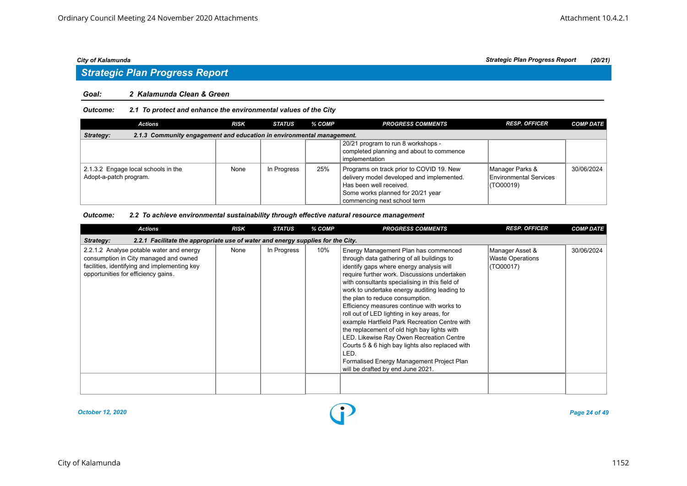#### *Goal: 2 Kalamunda Clean & Green*

#### *Outcome: 2.1 To protect and enhance the environmental values of the City*

| Actions                                                                            | <b>RISK</b> | <b>STATUS</b> | % COMP | <b>PROGRESS COMMENTS</b>                                                                                                                                                             | <b>RESP. OFFICER</b>                                          | <b>COMP DATE</b> |  |  |
|------------------------------------------------------------------------------------|-------------|---------------|--------|--------------------------------------------------------------------------------------------------------------------------------------------------------------------------------------|---------------------------------------------------------------|------------------|--|--|
| 2.1.3 Community engagement and education in environmental management.<br>Strategy: |             |               |        |                                                                                                                                                                                      |                                                               |                  |  |  |
|                                                                                    |             |               |        | 20/21 program to run 8 workshops -<br>completed planning and about to commence<br>implementation                                                                                     |                                                               |                  |  |  |
| 2.1.3.2 Engage local schools in the<br>Adopt-a-patch program.                      | None        | In Progress   | 25%    | Programs on track prior to COVID 19. New<br>delivery model developed and implemented.<br>Has been well received.<br>Some works planned for 20/21 year<br>commencing next school term | Manager Parks &<br><b>Environmental Services</b><br>(TO00019) | 30/06/2024       |  |  |

#### *Outcome: 2.2 To achieve environmental sustainability through effective natural resource management*

| <b>Actions</b>                                                                                                                                                           | <b>RISK</b> | <b>STATUS</b> | % COMP | <b>PROGRESS COMMENTS</b>                                                                                                                                                                                                                                                                                                                                                                                                                                                                                                                                                                                                                                                                                 | <b>RESP. OFFICER</b>                                    | <b>COMP DATE</b> |
|--------------------------------------------------------------------------------------------------------------------------------------------------------------------------|-------------|---------------|--------|----------------------------------------------------------------------------------------------------------------------------------------------------------------------------------------------------------------------------------------------------------------------------------------------------------------------------------------------------------------------------------------------------------------------------------------------------------------------------------------------------------------------------------------------------------------------------------------------------------------------------------------------------------------------------------------------------------|---------------------------------------------------------|------------------|
| 2.2.1 Facilitate the appropriate use of water and energy supplies for the City.<br>Strategy:                                                                             |             |               |        |                                                                                                                                                                                                                                                                                                                                                                                                                                                                                                                                                                                                                                                                                                          |                                                         |                  |
| 2.2.1.2 Analyse potable water and energy<br>consumption in City managed and owned<br>facilities, identifying and implementing key<br>opportunities for efficiency gains. | None        | In Progress   | 10%    | Energy Management Plan has commenced<br>through data gathering of all buildings to<br>identify gaps where energy analysis will<br>require further work. Discussions undertaken<br>with consultants specialising in this field of<br>work to undertake energy auditing leading to<br>the plan to reduce consumption.<br>Efficiency measures continue with works to<br>roll out of LED lighting in key areas, for<br>example Hartfield Park Recreation Centre with<br>the replacement of old high bay lights with<br>LED. Likewise Ray Owen Recreation Centre<br>Courts 5 & 6 high bay lights also replaced with<br>LED.<br>Formalised Energy Management Project Plan<br>will be drafted by end June 2021. | Manager Asset &<br><b>Waste Operations</b><br>(TO00017) | 30/06/2024       |
|                                                                                                                                                                          |             |               |        |                                                                                                                                                                                                                                                                                                                                                                                                                                                                                                                                                                                                                                                                                                          |                                                         |                  |

*October 12, 2020 Page 24 of 49*

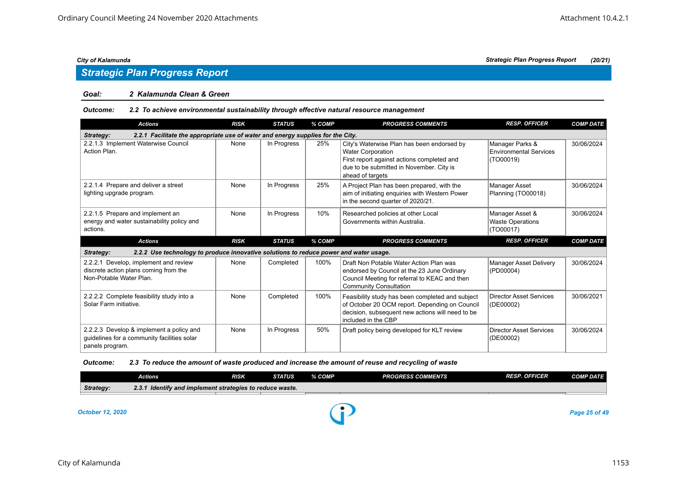## *Strategic Plan Progress Report*

#### *Goal: 2 Kalamunda Clean & Green*

#### *Outcome: 2.2 To achieve environmental sustainability through effective natural resource management*

| <b>Actions</b>                                                                                            | <b>RISK</b> | <b>STATUS</b> | % COMP | <b>PROGRESS COMMENTS</b>                                                                                                                                                             | <b>RESP. OFFICER</b>                                    | <b>COMP DATE</b> |
|-----------------------------------------------------------------------------------------------------------|-------------|---------------|--------|--------------------------------------------------------------------------------------------------------------------------------------------------------------------------------------|---------------------------------------------------------|------------------|
| 2.2.1 Facilitate the appropriate use of water and energy supplies for the City.<br>Strategy:              |             |               |        |                                                                                                                                                                                      |                                                         |                  |
| 2.2.1.3 Implement Waterwise Council<br>Action Plan.                                                       | None        | In Progress   | 25%    | City's Waterwise Plan has been endorsed by<br><b>Water Corporation</b><br>First report against actions completed and<br>due to be submitted in November. City is<br>ahead of targets | Manager Parks &<br>Environmental Services<br>(TO00019)  | 30/06/2024       |
| 2.2.1.4 Prepare and deliver a street<br>lighting upgrade program.                                         | None        | In Progress   | 25%    | A Project Plan has been prepared, with the<br>aim of initiating enquiries with Western Power<br>in the second quarter of 2020/21.                                                    | Manager Asset<br>Planning (TO00018)                     | 30/06/2024       |
| 2.2.1.5 Prepare and implement an<br>energy and water sustainability policy and<br>actions.                | None        | In Progress   | 10%    | Researched policies at other Local<br>Governments within Australia.                                                                                                                  | Manager Asset &<br><b>Waste Operations</b><br>(TO00017) | 30/06/2024       |
|                                                                                                           |             |               |        |                                                                                                                                                                                      |                                                         |                  |
| <b>Actions</b>                                                                                            | <b>RISK</b> | <b>STATUS</b> | % COMP | <b>PROGRESS COMMENTS</b>                                                                                                                                                             | <b>RESP. OFFICER</b>                                    | <b>COMP DATE</b> |
| 2.2.2 Use technology to produce innovative solutions to reduce power and water usage.<br>Strategy:        |             |               |        |                                                                                                                                                                                      |                                                         |                  |
| 2.2.2.1 Develop, implement and review<br>discrete action plans coming from the<br>Non-Potable Water Plan. | None        | Completed     | 100%   | Draft Non Potable Water Action Plan was<br>endorsed by Council at the 23 June Ordinary<br>Council Meeting for referral to KEAC and then<br><b>Community Consultation</b>             | Manager Asset Delivery<br>(PD00004)                     | 30/06/2024       |
| 2.2.2.2 Complete feasibility study into a<br>Solar Farm initiative.                                       | None        | Completed     | 100%   | Feasibility study has been completed and subject<br>of October 20 OCM report. Depending on Council<br>decision, subsequent new actions will need to be<br>included in the CBP        | Director Asset Services<br>(DE00002)                    | 30/06/2021       |

### *Outcome: 2.3 To reduce the amount of waste produced and increase the amount of reuse and recycling of waste*

|                         | Actions                                                  | <b>RISK</b> | <b>STATUS</b> | % COMP | <b>PROGRESS COMMENTS</b> | <b>RESP. OFFICER</b> | <b>COMP DATE</b> |
|-------------------------|----------------------------------------------------------|-------------|---------------|--------|--------------------------|----------------------|------------------|
| Strategy:               | 2.3.1 Identify and implement strategies to reduce waste. |             |               |        |                          |                      |                  |
|                         |                                                          |             |               |        |                          |                      |                  |
| <b>October 12, 2020</b> |                                                          |             |               |        |                          |                      | Page 25 of 49    |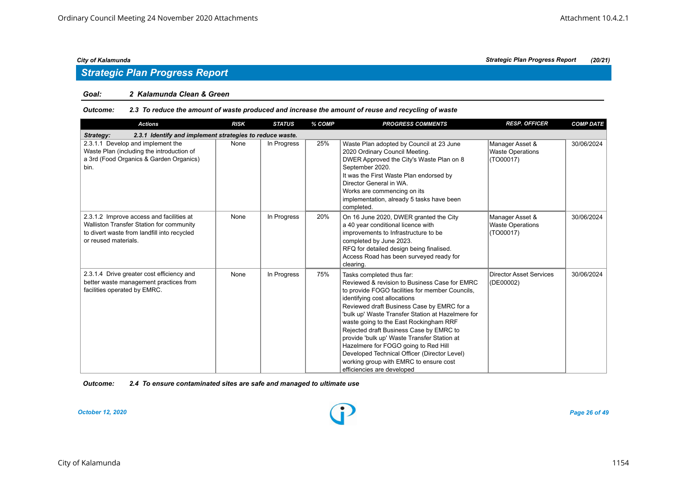## *Strategic Plan Progress Report*

#### *Goal: 2 Kalamunda Clean & Green*

#### *Outcome: 2.3 To reduce the amount of waste produced and increase the amount of reuse and recycling of waste*

| <b>Actions</b>                                                                                                                                              | <b>RISK</b> | <b>STATUS</b> | % COMP | <b>PROGRESS COMMENTS</b>                                                                                                                                                                                                                                                                                                                                                                                                                                                                                                                                             | <b>RESP. OFFICER</b>                                    | <b>COMP DATE</b> |  |  |  |  |
|-------------------------------------------------------------------------------------------------------------------------------------------------------------|-------------|---------------|--------|----------------------------------------------------------------------------------------------------------------------------------------------------------------------------------------------------------------------------------------------------------------------------------------------------------------------------------------------------------------------------------------------------------------------------------------------------------------------------------------------------------------------------------------------------------------------|---------------------------------------------------------|------------------|--|--|--|--|
| 2.3.1 Identify and implement strategies to reduce waste.<br>Strategy:                                                                                       |             |               |        |                                                                                                                                                                                                                                                                                                                                                                                                                                                                                                                                                                      |                                                         |                  |  |  |  |  |
| 2.3.1.1 Develop and implement the<br>Waste Plan (including the introduction of<br>a 3rd (Food Organics & Garden Organics)<br>bin.                           | None        | In Progress   | 25%    | Waste Plan adopted by Council at 23 June<br>2020 Ordinary Council Meeting.<br>DWER Approved the City's Waste Plan on 8<br>September 2020.<br>It was the First Waste Plan endorsed by<br>Director General in WA.<br>Works are commencing on its<br>implementation, already 5 tasks have been<br>completed.                                                                                                                                                                                                                                                            | Manager Asset &<br><b>Waste Operations</b><br>(TO00017) | 30/06/2024       |  |  |  |  |
| 2.3.1.2 Improve access and facilities at<br>Walliston Transfer Station for community<br>to divert waste from landfill into recycled<br>or reused materials. | None        | In Progress   | 20%    | On 16 June 2020, DWER granted the City<br>a 40 year conditional licence with<br>improvements to Infrastructure to be<br>completed by June 2023.<br>RFQ for detailed design being finalised.<br>Access Road has been surveyed ready for<br>clearing.                                                                                                                                                                                                                                                                                                                  | Manager Asset &<br><b>Waste Operations</b><br>(TO00017) | 30/06/2024       |  |  |  |  |
| 2.3.1.4 Drive greater cost efficiency and<br>better waste management practices from<br>facilities operated by EMRC.                                         | None        | In Progress   | 75%    | Tasks completed thus far:<br>Reviewed & revision to Business Case for EMRC<br>to provide FOGO facilities for member Councils,<br>identifying cost allocations<br>Reviewed draft Business Case by EMRC for a<br>'bulk up' Waste Transfer Station at Hazelmere for<br>waste going to the East Rockingham RRF<br>Rejected draft Business Case by EMRC to<br>provide 'bulk up' Waste Transfer Station at<br>Hazelmere for FOGO going to Red Hill<br>Developed Technical Officer (Director Level)<br>working group with EMRC to ensure cost<br>efficiencies are developed | <b>Director Asset Services</b><br>(DE00002)             | 30/06/2024       |  |  |  |  |

*Outcome: 2.4 To ensure contaminated sites are safe and managed to ultimate use*

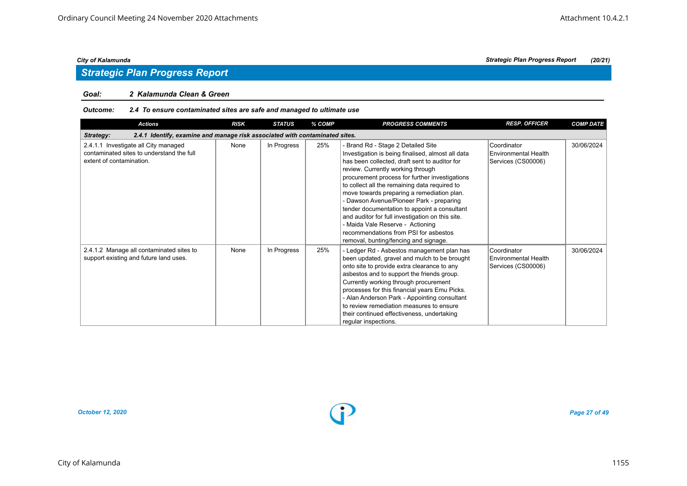## *Strategic Plan Progress Report*

#### *Goal: 2 Kalamunda Clean & Green*

#### *Outcome: 2.4 To ensure contaminated sites are safe and managed to ultimate use*

| <b>Actions</b>                                                                                                | <b>RISK</b> | <b>STATUS</b> | % COMP | <b>PROGRESS COMMENTS</b>                                                                                                                                                                                                                                                                                                                                                                                                                                                                                                                                                                             | <b>RESP. OFFICER</b>                                             | <b>COMP DATE</b> |  |  |  |
|---------------------------------------------------------------------------------------------------------------|-------------|---------------|--------|------------------------------------------------------------------------------------------------------------------------------------------------------------------------------------------------------------------------------------------------------------------------------------------------------------------------------------------------------------------------------------------------------------------------------------------------------------------------------------------------------------------------------------------------------------------------------------------------------|------------------------------------------------------------------|------------------|--|--|--|
| 2.4.1 Identify, examine and manage risk associated with contaminated sites.<br>Strategy:                      |             |               |        |                                                                                                                                                                                                                                                                                                                                                                                                                                                                                                                                                                                                      |                                                                  |                  |  |  |  |
| 2.4.1.1 Investigate all City managed<br>contaminated sites to understand the full<br>extent of contamination. | None        | In Progress   | 25%    | - Brand Rd - Stage 2 Detailed Site<br>Investigation is being finalised, almost all data<br>has been collected, draft sent to auditor for<br>review. Currently working through<br>procurement process for further investigations<br>to collect all the remaining data required to<br>move towards preparing a remediation plan.<br>- Dawson Avenue/Pioneer Park - preparing<br>tender documentation to appoint a consultant<br>and auditor for full investigation on this site.<br>- Maida Vale Reserve - Actioning<br>recommendations from PSI for asbestos<br>removal, bunting/fencing and signage. | Coordinator<br><b>Environmental Health</b><br>Services (CS00006) | 30/06/2024       |  |  |  |
| 2.4.1.2 Manage all contaminated sites to<br>support existing and future land uses.                            | None        | In Progress   | 25%    | - Ledger Rd - Asbestos management plan has<br>been updated, gravel and mulch to be brought<br>onto site to provide extra clearance to any<br>asbestos and to support the friends group.<br>Currently working through procurement<br>processes for this financial years Emu Picks.<br>- Alan Anderson Park - Appointing consultant<br>to review remediation measures to ensure<br>their continued effectiveness, undertaking<br>regular inspections.                                                                                                                                                  | Coordinator<br><b>Environmental Health</b><br>Services (CS00006) | 30/06/2024       |  |  |  |

*October 12, 2020 Page 27 of 49*

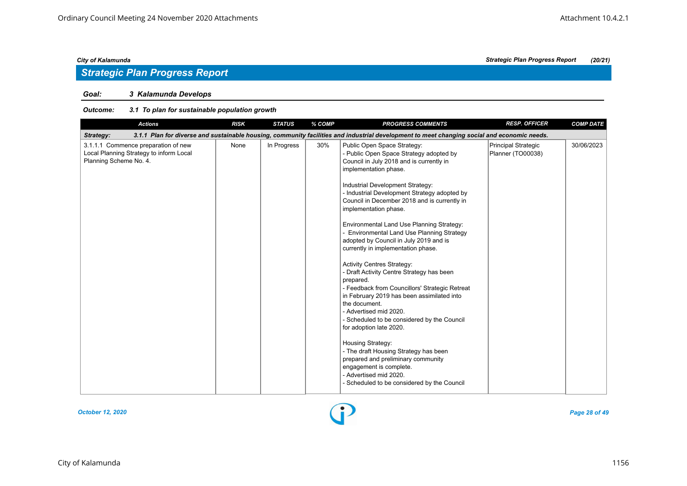## *Strategic Plan Progress Report*

### *Goal: 3 Kalamunda Develops*

| <b>RISK</b><br><b>STATUS</b><br>% COMP<br><b>PROGRESS COMMENTS</b><br><b>Actions</b>                                                                                                                                                                                                                                                                                                                                                                                                                                                                                                                                                                                                                                                                                                                                                                                                                                                                                                                                                                                                                                                                                                                       | <b>COMP DATE</b> |
|------------------------------------------------------------------------------------------------------------------------------------------------------------------------------------------------------------------------------------------------------------------------------------------------------------------------------------------------------------------------------------------------------------------------------------------------------------------------------------------------------------------------------------------------------------------------------------------------------------------------------------------------------------------------------------------------------------------------------------------------------------------------------------------------------------------------------------------------------------------------------------------------------------------------------------------------------------------------------------------------------------------------------------------------------------------------------------------------------------------------------------------------------------------------------------------------------------|------------------|
| 3.1.1 Plan for diverse and sustainable housing, community facilities and industrial development to meet changing social and economic needs.<br>Strategy:                                                                                                                                                                                                                                                                                                                                                                                                                                                                                                                                                                                                                                                                                                                                                                                                                                                                                                                                                                                                                                                   |                  |
| 3.1.1.1 Commence preparation of new<br>In Progress<br>30%<br>None<br>Public Open Space Strategy:<br>Principal Strategic<br>Local Planning Strategy to inform Local<br>- Public Open Space Strategy adopted by<br>Planner (TO00038)<br>Planning Scheme No. 4.<br>Council in July 2018 and is currently in<br>implementation phase.<br>Industrial Development Strategy:<br>- Industrial Development Strategy adopted by<br>Council in December 2018 and is currently in<br>implementation phase.<br>Environmental Land Use Planning Strategy:<br><b>Environmental Land Use Planning Strategy</b><br>adopted by Council in July 2019 and is<br>currently in implementation phase.<br><b>Activity Centres Strategy:</b><br>- Draft Activity Centre Strategy has been<br>prepared.<br>- Feedback from Councillors' Strategic Retreat<br>in February 2019 has been assimilated into<br>the document.<br>- Advertised mid 2020.<br>- Scheduled to be considered by the Council<br>for adoption late 2020.<br>Housing Strategy:<br>- The draft Housing Strategy has been<br>prepared and preliminary community<br>engagement is complete.<br>- Advertised mid 2020.<br>- Scheduled to be considered by the Council | 30/06/2023       |

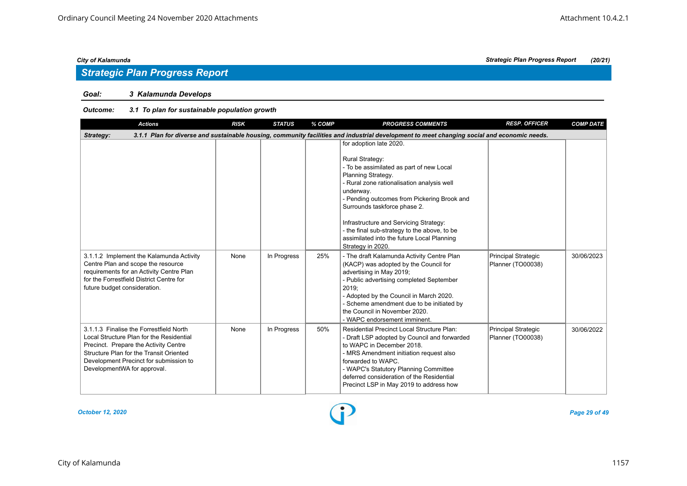## *Strategic Plan Progress Report*

### *Goal: 3 Kalamunda Develops*

### *Outcome: 3.1 To plan for sustainable population growth*

| <b>Actions</b>                                                                                                                                                                                                                                   | <b>RISK</b> | <b>STATUS</b> | % COMP | <b>PROGRESS COMMENTS</b>                                                                                                                                                                                                                                                                                                                                                                                                                                                                                                               | <b>RESP. OFFICER</b>                     | <b>COMP DATE</b> |
|--------------------------------------------------------------------------------------------------------------------------------------------------------------------------------------------------------------------------------------------------|-------------|---------------|--------|----------------------------------------------------------------------------------------------------------------------------------------------------------------------------------------------------------------------------------------------------------------------------------------------------------------------------------------------------------------------------------------------------------------------------------------------------------------------------------------------------------------------------------------|------------------------------------------|------------------|
| Strategy:                                                                                                                                                                                                                                        |             |               |        | 3.1.1 Plan for diverse and sustainable housing, community facilities and industrial development to meet changing social and economic needs.                                                                                                                                                                                                                                                                                                                                                                                            |                                          |                  |
| 3.1.1.2 Implement the Kalamunda Activity<br>Centre Plan and scope the resource<br>requirements for an Activity Centre Plan                                                                                                                       | None        | In Progress   | 25%    | for adoption late 2020.<br>Rural Strategy:<br>- To be assimilated as part of new Local<br>Planning Strategy.<br>- Rural zone rationalisation analysis well<br>underway.<br>- Pending outcomes from Pickering Brook and<br>Surrounds taskforce phase 2.<br>Infrastructure and Servicing Strategy:<br>- the final sub-strategy to the above, to be<br>assimilated into the future Local Planning<br>Strategy in 2020.<br>- The draft Kalamunda Activity Centre Plan<br>(KACP) was adopted by the Council for<br>advertising in May 2019; | Principal Strategic<br>Planner (TO00038) | 30/06/2023       |
| for the Forrestfield District Centre for<br>future budget consideration.                                                                                                                                                                         |             |               |        | - Public advertising completed September<br>2019:<br>- Adopted by the Council in March 2020.<br>- Scheme amendment due to be initiated by<br>the Council in November 2020.<br>- WAPC endorsement imminent.                                                                                                                                                                                                                                                                                                                             |                                          |                  |
| 3.1.1.3 Finalise the Forrestfield North<br>Local Structure Plan for the Residential<br>Precinct. Prepare the Activity Centre<br>Structure Plan for the Transit Oriented<br>Development Precinct for submission to<br>DevelopmentWA for approval. | None        | In Progress   | 50%    | Residential Precinct Local Structure Plan:<br>- Draft LSP adopted by Council and forwarded<br>to WAPC in December 2018.<br>- MRS Amendment initiation request also<br>forwarded to WAPC.<br>- WAPC's Statutory Planning Committee<br>deferred consideration of the Residential<br>Precinct LSP in May 2019 to address how                                                                                                                                                                                                              | Principal Strategic<br>Planner (TO00038) | 30/06/2022       |

#### *October 12, 2020 Page 29 of 49*

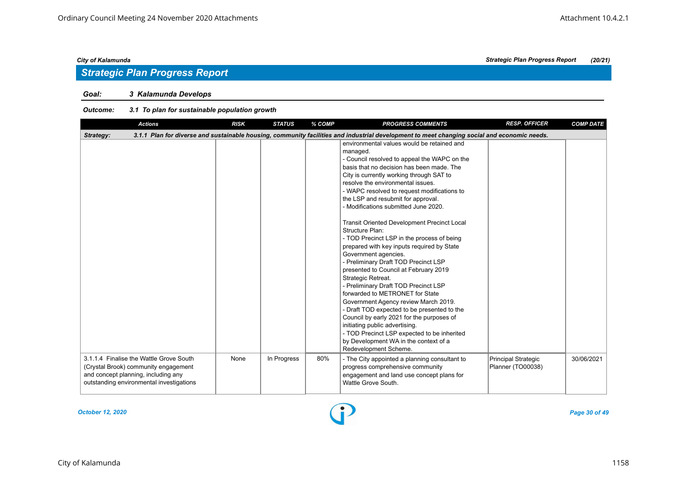## *Strategic Plan Progress Report*

### *Goal: 3 Kalamunda Develops*

| <b>Actions</b>                                                                                                                                                     | <b>RISK</b> | <b>STATUS</b> | % COMP | <b>PROGRESS COMMENTS</b>                                                                                                                                                                                                                                                                                                                                                                                                                                                                                                                                                                                                                                                                                                                                                                                                                                                                                                                                                                                                                | <b>RESP. OFFICER</b>                     | <b>COMP DATE</b> |
|--------------------------------------------------------------------------------------------------------------------------------------------------------------------|-------------|---------------|--------|-----------------------------------------------------------------------------------------------------------------------------------------------------------------------------------------------------------------------------------------------------------------------------------------------------------------------------------------------------------------------------------------------------------------------------------------------------------------------------------------------------------------------------------------------------------------------------------------------------------------------------------------------------------------------------------------------------------------------------------------------------------------------------------------------------------------------------------------------------------------------------------------------------------------------------------------------------------------------------------------------------------------------------------------|------------------------------------------|------------------|
| Strategy:                                                                                                                                                          |             |               |        | 3.1.1 Plan for diverse and sustainable housing, community facilities and industrial development to meet changing social and economic needs.                                                                                                                                                                                                                                                                                                                                                                                                                                                                                                                                                                                                                                                                                                                                                                                                                                                                                             |                                          |                  |
|                                                                                                                                                                    |             |               |        | environmental values would be retained and<br>managed.<br>- Council resolved to appeal the WAPC on the<br>basis that no decision has been made. The<br>City is currently working through SAT to<br>resolve the environmental issues.<br>- WAPC resolved to request modifications to<br>the LSP and resubmit for approval.<br>- Modifications submitted June 2020.<br><b>Transit Oriented Development Precinct Local</b><br>Structure Plan:<br>- TOD Precinct LSP in the process of being<br>prepared with key inputs required by State<br>Government agencies.<br>- Preliminary Draft TOD Precinct LSP<br>presented to Council at February 2019<br>Strategic Retreat.<br>- Preliminary Draft TOD Precinct LSP<br>forwarded to METRONET for State<br>Government Agency review March 2019.<br>- Draft TOD expected to be presented to the<br>Council by early 2021 for the purposes of<br>initiating public advertising.<br>- TOD Precinct LSP expected to be inherited<br>by Development WA in the context of a<br>Redevelopment Scheme. |                                          |                  |
| 3.1.1.4 Finalise the Wattle Grove South<br>(Crystal Brook) community engagement<br>and concept planning, including any<br>outstanding environmental investigations | None        | In Progress   | 80%    | - The City appointed a planning consultant to<br>progress comprehensive community<br>engagement and land use concept plans for<br>Wattle Grove South.                                                                                                                                                                                                                                                                                                                                                                                                                                                                                                                                                                                                                                                                                                                                                                                                                                                                                   | Principal Strategic<br>Planner (TO00038) | 30/06/2021       |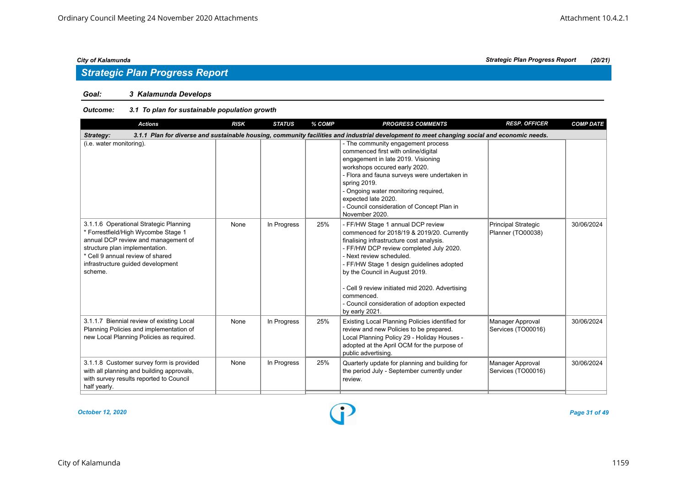### *Goal: 3 Kalamunda Develops*

| <b>Actions</b>                                                                                                                                                                                                                             | <b>RISK</b> | <b>STATUS</b> | % COMP | <b>PROGRESS COMMENTS</b>                                                                                                                                                                                                                                                                                                                                                                                             | <b>RESP. OFFICER</b>                     | <b>COMP DATE</b> |
|--------------------------------------------------------------------------------------------------------------------------------------------------------------------------------------------------------------------------------------------|-------------|---------------|--------|----------------------------------------------------------------------------------------------------------------------------------------------------------------------------------------------------------------------------------------------------------------------------------------------------------------------------------------------------------------------------------------------------------------------|------------------------------------------|------------------|
| Strategy:                                                                                                                                                                                                                                  |             |               |        | 3.1.1 Plan for diverse and sustainable housing, community facilities and industrial development to meet changing social and economic needs.                                                                                                                                                                                                                                                                          |                                          |                  |
| (i.e. water monitoring).                                                                                                                                                                                                                   |             |               |        | - The community engagement process<br>commenced first with online/digital<br>engagement in late 2019. Visioning<br>workshops occured early 2020.<br>- Flora and fauna surveys were undertaken in<br>spring 2019.<br>- Ongoing water monitoring required,<br>expected late 2020.<br>- Council consideration of Concept Plan in<br>November 2020.                                                                      |                                          |                  |
| 3.1.1.6 Operational Strategic Planning<br>* Forrestfield/High Wycombe Stage 1<br>annual DCP review and management of<br>structure plan implementation.<br>* Cell 9 annual review of shared<br>infrastructure guided development<br>scheme. | None        | In Progress   | 25%    | - FF/HW Stage 1 annual DCP review<br>commenced for 2018/19 & 2019/20. Currently<br>finalising infrastructure cost analysis.<br>- FF/HW DCP review completed July 2020.<br>- Next review scheduled.<br>- FF/HW Stage 1 design guidelines adopted<br>by the Council in August 2019.<br>- Cell 9 review initiated mid 2020. Advertising<br>commenced.<br>- Council consideration of adoption expected<br>by early 2021. | Principal Strategic<br>Planner (TO00038) | 30/06/2024       |
| 3.1.1.7 Biennial review of existing Local<br>Planning Policies and implementation of<br>new Local Planning Policies as required.                                                                                                           | None        | In Progress   | 25%    | Existing Local Planning Policies identified for<br>review and new Policies to be prepared.<br>Local Planning Policy 29 - Holiday Houses -<br>adopted at the April OCM for the purpose of<br>public advertising.                                                                                                                                                                                                      | Manager Approval<br>Services (TO00016)   | 30/06/2024       |
| 3.1.1.8 Customer survey form is provided<br>with all planning and building approvals,<br>with survey results reported to Council<br>half yearly.                                                                                           | None        | In Progress   | 25%    | Quarterly update for planning and building for<br>the period July - September currently under<br>review.                                                                                                                                                                                                                                                                                                             | Manager Approval<br>Services (TO00016)   | 30/06/2024       |

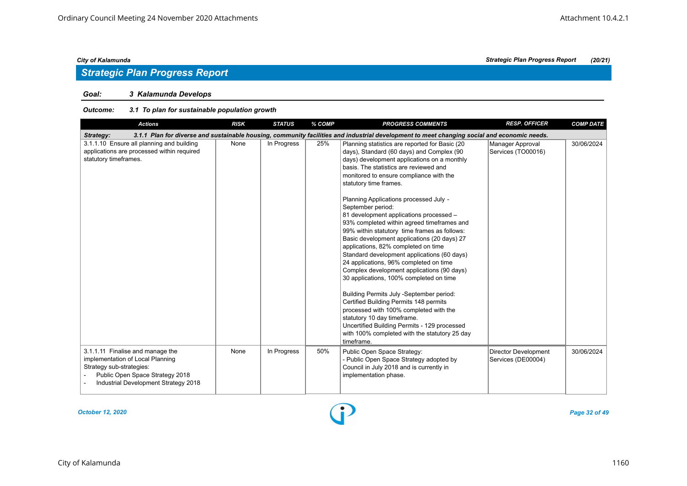## *Strategic Plan Progress Report*

### *Goal: 3 Kalamunda Develops*

| <b>Actions</b>                                                                                                                                                              | <b>RISK</b> | <b>STATUS</b> | % COMP | <b>PROGRESS COMMENTS</b>                                                                                                                                                                                                                                                                                                                                                                                                                                                                                                                                                                                                                                                                                                                                                                                                                                                                                                                                                                                                | <b>RESP. OFFICER</b>                              | <b>COMP DATE</b> |
|-----------------------------------------------------------------------------------------------------------------------------------------------------------------------------|-------------|---------------|--------|-------------------------------------------------------------------------------------------------------------------------------------------------------------------------------------------------------------------------------------------------------------------------------------------------------------------------------------------------------------------------------------------------------------------------------------------------------------------------------------------------------------------------------------------------------------------------------------------------------------------------------------------------------------------------------------------------------------------------------------------------------------------------------------------------------------------------------------------------------------------------------------------------------------------------------------------------------------------------------------------------------------------------|---------------------------------------------------|------------------|
| Strategy:                                                                                                                                                                   |             |               |        | 3.1.1 Plan for diverse and sustainable housing, community facilities and industrial development to meet changing social and economic needs.                                                                                                                                                                                                                                                                                                                                                                                                                                                                                                                                                                                                                                                                                                                                                                                                                                                                             |                                                   |                  |
| 3.1.1.10 Ensure all planning and building<br>applications are processed within required<br>statutory timeframes.                                                            | None        | In Progress   | 25%    | Planning statistics are reported for Basic (20<br>days), Standard (60 days) and Complex (90<br>days) development applications on a monthly<br>basis. The statistics are reviewed and<br>monitored to ensure compliance with the<br>statutory time frames.<br>Planning Applications processed July -<br>September period:<br>81 development applications processed -<br>93% completed within agreed timeframes and<br>99% within statutory time frames as follows:<br>Basic development applications (20 days) 27<br>applications, 82% completed on time<br>Standard development applications (60 days)<br>24 applications, 96% completed on time<br>Complex development applications (90 days)<br>30 applications, 100% completed on time<br>Building Permits July -September period:<br>Certified Building Permits 148 permits<br>processed with 100% completed with the<br>statutory 10 day timeframe.<br>Uncertified Building Permits - 129 processed<br>with 100% completed with the statutory 25 day<br>timeframe. | Manager Approval<br>Services (TO00016)            | 30/06/2024       |
| 3.1.1.11 Finalise and manage the<br>implementation of Local Planning<br>Strategy sub-strategies:<br>Public Open Space Strategy 2018<br>Industrial Development Strategy 2018 | None        | In Progress   | 50%    | Public Open Space Strategy:<br>- Public Open Space Strategy adopted by<br>Council in July 2018 and is currently in<br>implementation phase.                                                                                                                                                                                                                                                                                                                                                                                                                                                                                                                                                                                                                                                                                                                                                                                                                                                                             | <b>Director Development</b><br>Services (DE00004) | 30/06/2024       |

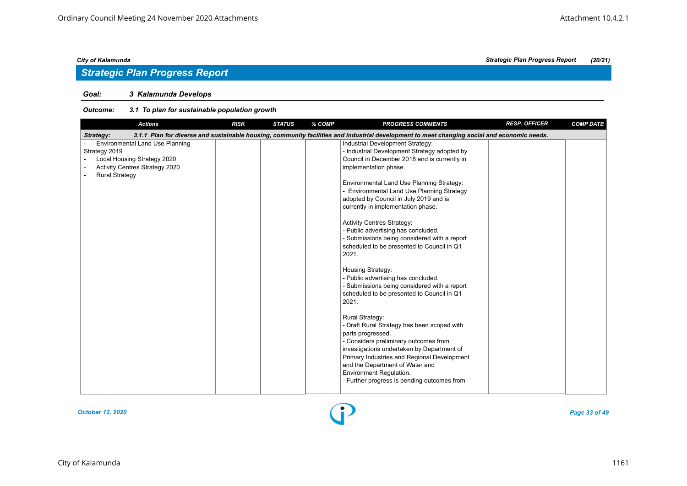## *Strategic Plan Progress Report*

### *Goal: 3 Kalamunda Develops*

| <b>Actions</b>                                                                                                                                    | <b>RISK</b> | <b>STATUS</b> | % COMP | <b>PROGRESS COMMENTS</b>                                                                                                                                                                                                                                                                                                                                                                                                                                                                                                                                                                                                                                                                                                                                                                                                                                                                                                                                                                                                             | <b>RESP. OFFICER</b> | <b>COMP DATE</b> |
|---------------------------------------------------------------------------------------------------------------------------------------------------|-------------|---------------|--------|--------------------------------------------------------------------------------------------------------------------------------------------------------------------------------------------------------------------------------------------------------------------------------------------------------------------------------------------------------------------------------------------------------------------------------------------------------------------------------------------------------------------------------------------------------------------------------------------------------------------------------------------------------------------------------------------------------------------------------------------------------------------------------------------------------------------------------------------------------------------------------------------------------------------------------------------------------------------------------------------------------------------------------------|----------------------|------------------|
| Strategy:                                                                                                                                         |             |               |        | 3.1.1 Plan for diverse and sustainable housing, community facilities and industrial development to meet changing social and economic needs.                                                                                                                                                                                                                                                                                                                                                                                                                                                                                                                                                                                                                                                                                                                                                                                                                                                                                          |                      |                  |
| <b>Environmental Land Use Planning</b><br>Strategy 2019<br>Local Housing Strategy 2020<br>Activity Centres Strategy 2020<br><b>Rural Strategy</b> |             |               |        | Industrial Development Strategy:<br>- Industrial Development Strategy adopted by<br>Council in December 2018 and is currently in<br>implementation phase.<br>Environmental Land Use Planning Strategy:<br>- Environmental Land Use Planning Strategy<br>adopted by Council in July 2019 and is<br>currently in implementation phase.<br><b>Activity Centres Strategy:</b><br>- Public advertising has concluded.<br>- Submissions being considered with a report<br>scheduled to be presented to Council in Q1<br>2021.<br>Housing Strategy:<br>- Public advertising has concluded.<br>- Submissions being considered with a report<br>scheduled to be presented to Council in Q1<br>2021.<br>Rural Strategy:<br>- Draft Rural Strategy has been scoped with<br>parts progressed.<br>- Considers preliminary outcomes from<br>investigations undertaken by Department of<br>Primary Industries and Regional Development<br>and the Department of Water and<br>Environment Regulation.<br>- Further progress is pending outcomes from |                      |                  |
|                                                                                                                                                   |             |               |        |                                                                                                                                                                                                                                                                                                                                                                                                                                                                                                                                                                                                                                                                                                                                                                                                                                                                                                                                                                                                                                      |                      |                  |

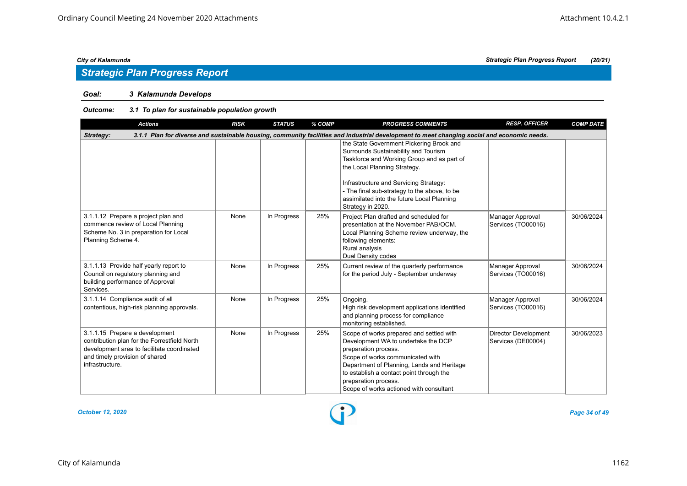## *Strategic Plan Progress Report*

### *Goal: 3 Kalamunda Develops*

### *Outcome: 3.1 To plan for sustainable population growth*

| <b>Actions</b>                                                                                                                                                                    | <b>RISK</b> | <b>STATUS</b> | % COMP | <b>PROGRESS COMMENTS</b>                                                                                                                                                                                                                                                                                                    | <b>RESP. OFFICER</b>                              | <b>COMP DATE</b> |
|-----------------------------------------------------------------------------------------------------------------------------------------------------------------------------------|-------------|---------------|--------|-----------------------------------------------------------------------------------------------------------------------------------------------------------------------------------------------------------------------------------------------------------------------------------------------------------------------------|---------------------------------------------------|------------------|
| Strategy:                                                                                                                                                                         |             |               |        | 3.1.1 Plan for diverse and sustainable housing, community facilities and industrial development to meet changing social and economic needs.                                                                                                                                                                                 |                                                   |                  |
|                                                                                                                                                                                   |             |               |        | the State Government Pickering Brook and<br>Surrounds Sustainability and Tourism<br>Taskforce and Working Group and as part of<br>the Local Planning Strategy.<br>Infrastructure and Servicing Strategy:<br>- The final sub-strategy to the above, to be<br>assimilated into the future Local Planning<br>Strategy in 2020. |                                                   |                  |
| 3.1.1.12 Prepare a project plan and<br>commence review of Local Planning<br>Scheme No. 3 in preparation for Local<br>Planning Scheme 4.                                           | None        | In Progress   | 25%    | Project Plan drafted and scheduled for<br>presentation at the November PAB/OCM.<br>Local Planning Scheme review underway, the<br>following elements:<br>Rural analysis<br><b>Dual Density codes</b>                                                                                                                         | Manager Approval<br>Services (TO00016)            | 30/06/2024       |
| 3.1.1.13 Provide half yearly report to<br>Council on regulatory planning and<br>building performance of Approval<br>Services.                                                     | None        | In Progress   | 25%    | Current review of the quarterly performance<br>for the period July - September underway                                                                                                                                                                                                                                     | Manager Approval<br>Services (TO00016)            | 30/06/2024       |
| 3.1.1.14 Compliance audit of all<br>contentious, high-risk planning approvals.                                                                                                    | None        | In Progress   | 25%    | Ongoing.<br>High risk development applications identified<br>and planning process for compliance<br>monitoring established.                                                                                                                                                                                                 | Manager Approval<br>Services (TO00016)            | 30/06/2024       |
| 3.1.1.15 Prepare a development<br>contribution plan for the Forrestfield North<br>development area to facilitate coordinated<br>and timely provision of shared<br>infrastructure. | None        | In Progress   | 25%    | Scope of works prepared and settled with<br>Development WA to undertake the DCP<br>preparation process.<br>Scope of works communicated with<br>Department of Planning, Lands and Heritage<br>to establish a contact point through the<br>preparation process.<br>Scope of works actioned with consultant                    | <b>Director Development</b><br>Services (DE00004) | 30/06/2023       |

*October 12, 2020 Page 34 of 49*

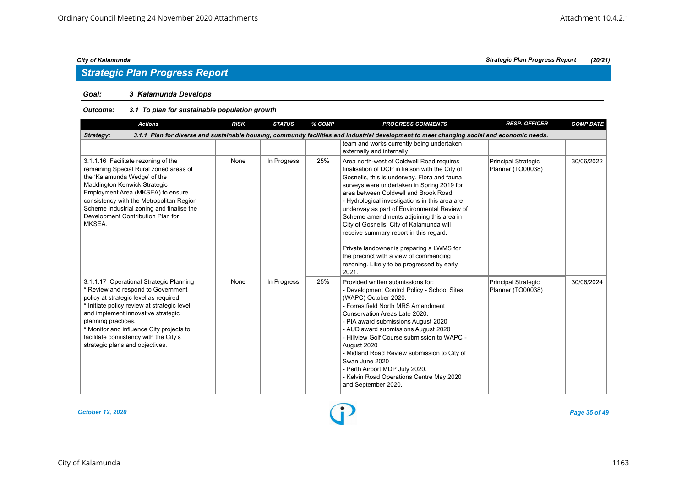### *Goal: 3 Kalamunda Develops*

### *Outcome: 3.1 To plan for sustainable population growth*

| <b>Actions</b>                                                                                                                                                                                                                                                                                                                                               | <b>RISK</b> | <b>STATUS</b> | % COMP | <b>PROGRESS COMMENTS</b>                                                                                                                                                                                                                                                                                                                                                                                                                                                                                                                                                                                            | <b>RESP. OFFICER</b>                     | <b>COMP DATE</b> |
|--------------------------------------------------------------------------------------------------------------------------------------------------------------------------------------------------------------------------------------------------------------------------------------------------------------------------------------------------------------|-------------|---------------|--------|---------------------------------------------------------------------------------------------------------------------------------------------------------------------------------------------------------------------------------------------------------------------------------------------------------------------------------------------------------------------------------------------------------------------------------------------------------------------------------------------------------------------------------------------------------------------------------------------------------------------|------------------------------------------|------------------|
| Strategy:                                                                                                                                                                                                                                                                                                                                                    |             |               |        | 3.1.1 Plan for diverse and sustainable housing, community facilities and industrial development to meet changing social and economic needs.                                                                                                                                                                                                                                                                                                                                                                                                                                                                         |                                          |                  |
|                                                                                                                                                                                                                                                                                                                                                              |             |               |        | team and works currently being undertaken<br>externally and internally.                                                                                                                                                                                                                                                                                                                                                                                                                                                                                                                                             |                                          |                  |
| 3.1.1.16 Facilitate rezoning of the<br>remaining Special Rural zoned areas of<br>the 'Kalamunda Wedge' of the<br>Maddington Kenwick Strategic<br>Employment Area (MKSEA) to ensure<br>consistency with the Metropolitan Region<br>Scheme Industrial zoning and finalise the<br>Development Contribution Plan for<br>MKSEA.                                   | None        | In Progress   | 25%    | Area north-west of Coldwell Road requires<br>finalisation of DCP in liaison with the City of<br>Gosnells, this is underway. Flora and fauna<br>surveys were undertaken in Spring 2019 for<br>area between Coldwell and Brook Road.<br>- Hydrological investigations in this area are<br>underway as part of Environmental Review of<br>Scheme amendments adjoining this area in<br>City of Gosnells. City of Kalamunda will<br>receive summary report in this regard.<br>Private landowner is preparing a LWMS for<br>the precinct with a view of commencing<br>rezoning. Likely to be progressed by early<br>2021. | Principal Strategic<br>Planner (TO00038) | 30/06/2022       |
| 3.1.1.17 Operational Strategic Planning<br>* Review and respond to Government<br>policy at strategic level as required.<br>* Initiate policy review at strategic level<br>and implement innovative strategic<br>planning practices.<br>* Monitor and influence City projects to<br>facilitate consistency with the City's<br>strategic plans and objectives. | None        | In Progress   | 25%    | Provided written submissions for:<br>- Development Control Policy - School Sites<br>(WAPC) October 2020.<br>- Forrestfield North MRS Amendment<br>Conservation Areas Late 2020.<br>- PIA award submissions August 2020<br>- AUD award submissions August 2020<br>- Hillview Golf Course submission to WAPC -<br>August 2020<br>- Midland Road Review submission to City of<br>Swan June 2020<br>- Perth Airport MDP July 2020.<br>- Kelvin Road Operations Centre May 2020<br>and September 2020.                                                                                                                   | Principal Strategic<br>Planner (TO00038) | 30/06/2024       |



### City of Kalamunda 1163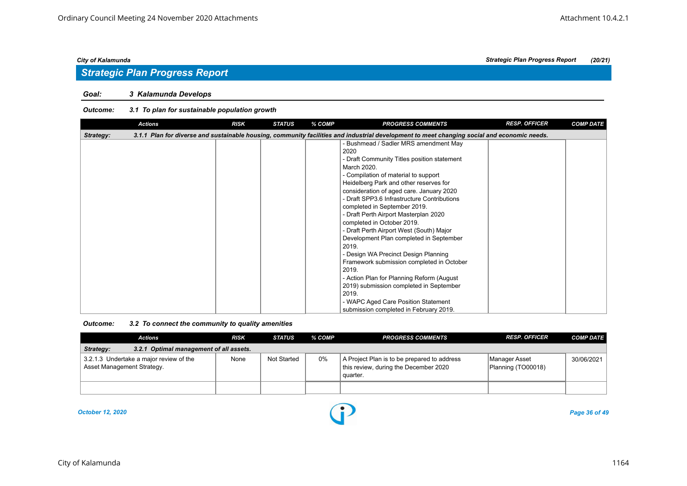### *Goal: 3 Kalamunda Develops*

|           | <b>Actions</b> | <b>RISK</b> | <b>STATUS</b> | % COMP | <b>PROGRESS COMMENTS</b>                                                                                                                    | <b>RESP. OFFICER</b> | <b>COMP DATE</b> |
|-----------|----------------|-------------|---------------|--------|---------------------------------------------------------------------------------------------------------------------------------------------|----------------------|------------------|
| Strategy: |                |             |               |        | 3.1.1 Plan for diverse and sustainable housing, community facilities and industrial development to meet changing social and economic needs. |                      |                  |
|           |                |             |               |        | - Bushmead / Sadler MRS amendment May                                                                                                       |                      |                  |
|           |                |             |               |        | 2020                                                                                                                                        |                      |                  |
|           |                |             |               |        | - Draft Community Titles position statement                                                                                                 |                      |                  |
|           |                |             |               |        | March 2020.                                                                                                                                 |                      |                  |
|           |                |             |               |        | - Compilation of material to support                                                                                                        |                      |                  |
|           |                |             |               |        | Heidelberg Park and other reserves for                                                                                                      |                      |                  |
|           |                |             |               |        | consideration of aged care. January 2020                                                                                                    |                      |                  |
|           |                |             |               |        | - Draft SPP3.6 Infrastructure Contributions                                                                                                 |                      |                  |
|           |                |             |               |        | completed in September 2019.                                                                                                                |                      |                  |
|           |                |             |               |        | - Draft Perth Airport Masterplan 2020                                                                                                       |                      |                  |
|           |                |             |               |        | completed in October 2019.                                                                                                                  |                      |                  |
|           |                |             |               |        | - Draft Perth Airport West (South) Major                                                                                                    |                      |                  |
|           |                |             |               |        | Development Plan completed in September                                                                                                     |                      |                  |
|           |                |             |               |        | 2019.                                                                                                                                       |                      |                  |
|           |                |             |               |        | - Design WA Precinct Design Planning                                                                                                        |                      |                  |
|           |                |             |               |        | Framework submission completed in October                                                                                                   |                      |                  |
|           |                |             |               |        | 2019.                                                                                                                                       |                      |                  |
|           |                |             |               |        | - Action Plan for Planning Reform (August                                                                                                   |                      |                  |
|           |                |             |               |        | 2019) submission completed in September                                                                                                     |                      |                  |
|           |                |             |               |        | 2019.                                                                                                                                       |                      |                  |
|           |                |             |               |        | - WAPC Aged Care Position Statement                                                                                                         |                      |                  |
|           |                |             |               |        | submission completed in February 2019.                                                                                                      |                      |                  |

| Outcome: | 3.2 To connect the community to quality amenities |  |
|----------|---------------------------------------------------|--|
|----------|---------------------------------------------------|--|

| <b>Actions</b>                                                        | <b>RISK</b> | STATUS             | % COMP | <b>PROGRESS COMMENTS</b>                                                                         | <b>RESP. OFFICER</b>                | <b>COMP DATE</b> |
|-----------------------------------------------------------------------|-------------|--------------------|--------|--------------------------------------------------------------------------------------------------|-------------------------------------|------------------|
| Strategy:<br>3.2.1 Optimal management of all assets.                  |             |                    |        |                                                                                                  |                                     |                  |
| 3.2.1.3 Undertake a major review of the<br>Asset Management Strategy. | None        | <b>Not Started</b> | 0%     | A Project Plan is to be prepared to address<br>this review, during the December 2020<br>quarter. | Manager Asset<br>Planning (TO00018) | 30/06/2021       |
|                                                                       |             |                    |        |                                                                                                  |                                     |                  |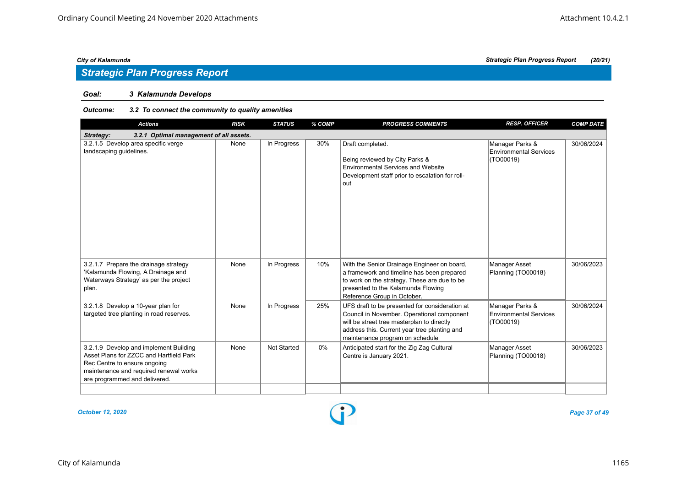## *Strategic Plan Progress Report*

### *Goal: 3 Kalamunda Develops*

### *Outcome: 3.2 To connect the community to quality amenities*

| <b>Actions</b>                                                                                                                                                                               | <b>RISK</b> | <b>STATUS</b>      | % COMP | <b>PROGRESS COMMENTS</b>                                                                                                                                                                                                      | <b>RESP. OFFICER</b>                                          | <b>COMP DATE</b> |
|----------------------------------------------------------------------------------------------------------------------------------------------------------------------------------------------|-------------|--------------------|--------|-------------------------------------------------------------------------------------------------------------------------------------------------------------------------------------------------------------------------------|---------------------------------------------------------------|------------------|
| 3.2.1 Optimal management of all assets.<br>Strategy:                                                                                                                                         |             |                    |        |                                                                                                                                                                                                                               |                                                               |                  |
| 3.2.1.5 Develop area specific verge<br>landscaping guidelines.                                                                                                                               | None        | In Progress        | 30%    | Draft completed.<br>Being reviewed by City Parks &<br><b>Environmental Services and Website</b><br>Development staff prior to escalation for roll-<br>out                                                                     | Manager Parks &<br><b>Environmental Services</b><br>(TO00019) | 30/06/2024       |
| 3.2.1.7 Prepare the drainage strategy<br>'Kalamunda Flowing, A Drainage and<br>Waterways Strategy' as per the project<br>plan.                                                               | None        | In Progress        | 10%    | With the Senior Drainage Engineer on board,<br>a framework and timeline has been prepared<br>to work on the strategy. These are due to be<br>presented to the Kalamunda Flowing<br>Reference Group in October.                | Manager Asset<br>Planning (TO00018)                           | 30/06/2023       |
| 3.2.1.8 Develop a 10-year plan for<br>targeted tree planting in road reserves.                                                                                                               | None        | In Progress        | 25%    | UFS draft to be presented for consideration at<br>Council in November. Operational component<br>will be street tree masterplan to directly<br>address this. Current year tree planting and<br>maintenance program on schedule | Manager Parks &<br><b>Environmental Services</b><br>(TO00019) | 30/06/2024       |
| 3.2.1.9 Develop and implement Building<br>Asset Plans for ZZCC and Hartfield Park<br>Rec Centre to ensure ongoing<br>maintenance and required renewal works<br>are programmed and delivered. | None        | <b>Not Started</b> | $0\%$  | Anticipated start for the Zig Zag Cultural<br>Centre is January 2021.                                                                                                                                                         | <b>Manager Asset</b><br>Planning (TO00018)                    | 30/06/2023       |
|                                                                                                                                                                                              |             |                    |        |                                                                                                                                                                                                                               |                                                               |                  |

*October 12, 2020 Page 37 of 49*

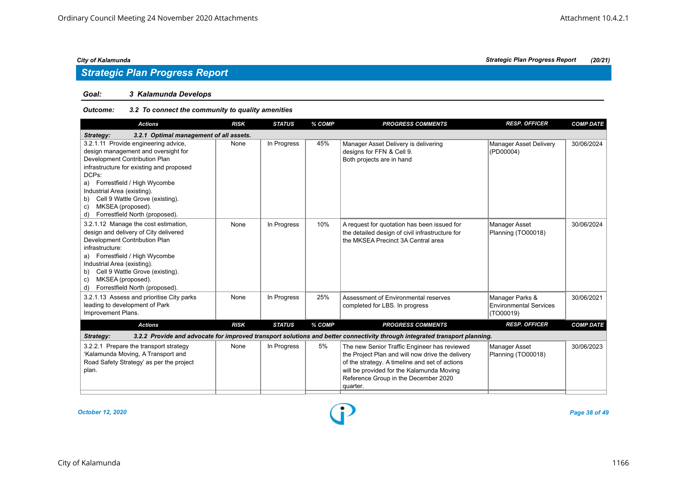## *Strategic Plan Progress Report*

### *Goal: 3 Kalamunda Develops*

### *Outcome: 3.2 To connect the community to quality amenities*

| <b>Actions</b>                                                                                                                                                                                                                                                                                                                              | <b>RISK</b> | <b>STATUS</b> | % COMP | <b>PROGRESS COMMENTS</b>                                                                                                                                                                                                                            | <b>RESP. OFFICER</b>                                          | <b>COMP DATE</b> |
|---------------------------------------------------------------------------------------------------------------------------------------------------------------------------------------------------------------------------------------------------------------------------------------------------------------------------------------------|-------------|---------------|--------|-----------------------------------------------------------------------------------------------------------------------------------------------------------------------------------------------------------------------------------------------------|---------------------------------------------------------------|------------------|
| 3.2.1 Optimal management of all assets.<br>Strategy:                                                                                                                                                                                                                                                                                        |             |               |        |                                                                                                                                                                                                                                                     |                                                               |                  |
| 3.2.1.11 Provide engineering advice,<br>design management and oversight for<br>Development Contribution Plan<br>infrastructure for existing and proposed<br>DCPs:<br>a) Forrestfield / High Wycombe<br>Industrial Area (existing).<br>b) Cell 9 Wattle Grove (existing).<br>MKSEA (proposed).<br>C)<br>Forrestfield North (proposed).<br>d) | None        | In Progress   | 45%    | Manager Asset Delivery is delivering<br>designs for FFN & Cell 9.<br>Both projects are in hand                                                                                                                                                      | <b>Manager Asset Delivery</b><br>(PD00004)                    | 30/06/2024       |
| 3.2.1.12 Manage the cost estimation,<br>design and delivery of City delivered<br>Development Contribution Plan<br>infrastructure:<br>a) Forrestfield / High Wycombe<br>Industrial Area (existing).<br>b) Cell 9 Wattle Grove (existing).<br>MKSEA (proposed).<br>C)<br>Forrestfield North (proposed).<br>d)                                 | None        | In Progress   | 10%    | A request for quotation has been issued for<br>the detailed design of civil infrastructure for<br>the MKSEA Precinct 3A Central area                                                                                                                | Manager Asset<br>Planning (TO00018)                           | 30/06/2024       |
| 3.2.1.13 Assess and prioritise City parks<br>leading to development of Park<br>Improvement Plans.                                                                                                                                                                                                                                           | None        | In Progress   | 25%    | Assessment of Environmental reserves<br>completed for LBS. In progress                                                                                                                                                                              | Manager Parks &<br><b>Environmental Services</b><br>(TO00019) | 30/06/2021       |
| <b>Actions</b>                                                                                                                                                                                                                                                                                                                              | <b>RISK</b> | <b>STATUS</b> | % COMP | <b>PROGRESS COMMENTS</b>                                                                                                                                                                                                                            | <b>RESP. OFFICER</b>                                          | <b>COMP DATE</b> |
| Strategy:                                                                                                                                                                                                                                                                                                                                   |             |               |        | 3.2.2 Provide and advocate for improved transport solutions and better connectivity through integrated transport planning.                                                                                                                          |                                                               |                  |
| 3.2.2.1 Prepare the transport strategy<br>'Kalamunda Moving, A Transport and<br>Road Safety Strategy' as per the project<br>plan.                                                                                                                                                                                                           | None        | In Progress   | 5%     | The new Senior Traffic Engineer has reviewed<br>the Project Plan and will now drive the delivery<br>of the strategy. A timeline and set of actions<br>will be provided for the Kalamunda Moving<br>Reference Group in the December 2020<br>quarter. | Manager Asset<br>Planning (TO00018)                           | 30/06/2023       |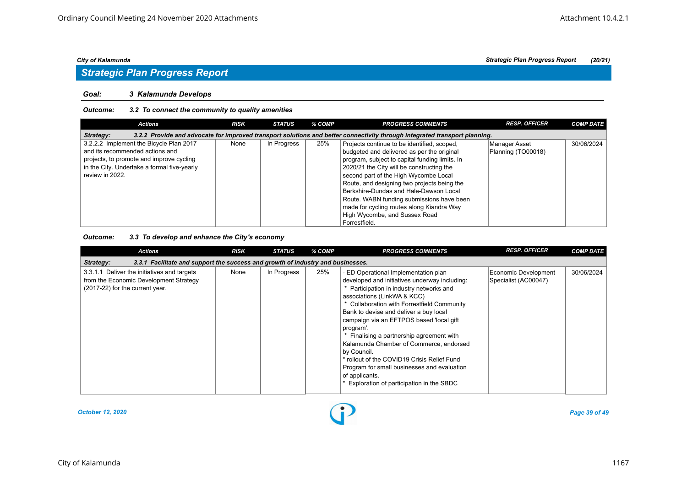## *Strategic Plan Progress Report*

#### *Goal: 3 Kalamunda Develops*

#### *Outcome: 3.2 To connect the community to quality amenities*

| <b>Actions</b>                              | <b>RISK</b> | <b>STATUS</b> | % COMP | <b>PROGRESS COMMENTS</b>                                                                                                   | <b>RESP. OFFICER</b> | <b>COMP DATE</b> |
|---------------------------------------------|-------------|---------------|--------|----------------------------------------------------------------------------------------------------------------------------|----------------------|------------------|
| Strategy:                                   |             |               |        | 3.2.2 Provide and advocate for improved transport solutions and better connectivity through integrated transport planning. |                      |                  |
| 3.2.2.2 Implement the Bicycle Plan 2017     | None        | In Progress   | 25%    | Projects continue to be identified, scoped,                                                                                | Manager Asset        | 30/06/2024       |
| and its recommended actions and             |             |               |        | budgeted and delivered as per the original                                                                                 | Planning (TO00018)   |                  |
| projects, to promote and improve cycling    |             |               |        | program, subject to capital funding limits. In                                                                             |                      |                  |
| in the City. Undertake a formal five-yearly |             |               |        | 2020/21 the City will be constructing the                                                                                  |                      |                  |
| review in 2022.                             |             |               |        | second part of the High Wycombe Local                                                                                      |                      |                  |
|                                             |             |               |        | Route, and designing two projects being the                                                                                |                      |                  |
|                                             |             |               |        | Berkshire-Dundas and Hale-Dawson Local                                                                                     |                      |                  |
|                                             |             |               |        | Route. WABN funding submissions have been                                                                                  |                      |                  |
|                                             |             |               |        | made for cycling routes along Kiandra Way                                                                                  |                      |                  |
|                                             |             |               |        | High Wycombe, and Sussex Road                                                                                              |                      |                  |
|                                             |             |               |        | Forrestfield.                                                                                                              |                      |                  |

### *Outcome: 3.3 To develop and enhance the City's economy*

| <b>Actions</b>                                                                                                           | <b>RISK</b> | <b>STATUS</b> | % COMP | <b>PROGRESS COMMENTS</b>                                                                                                                                                                                                                                                                                                                                                                                                                                                                                                                                                            | <b>RESP. OFFICER</b>                         | <b>COMP DATE</b> |
|--------------------------------------------------------------------------------------------------------------------------|-------------|---------------|--------|-------------------------------------------------------------------------------------------------------------------------------------------------------------------------------------------------------------------------------------------------------------------------------------------------------------------------------------------------------------------------------------------------------------------------------------------------------------------------------------------------------------------------------------------------------------------------------------|----------------------------------------------|------------------|
| 3.3.1 Facilitate and support the success and growth of industry and businesses.<br>Strategy:                             |             |               |        |                                                                                                                                                                                                                                                                                                                                                                                                                                                                                                                                                                                     |                                              |                  |
| 3.3.1.1 Deliver the initiatives and targets<br>from the Economic Development Strategy<br>(2017-22) for the current year. | None        | In Progress   | 25%    | - ED Operational Implementation plan<br>developed and initiatives underway including:<br>Participation in industry networks and<br>associations (LinkWA & KCC)<br>* Collaboration with Forrestfield Community<br>Bank to devise and deliver a buy local<br>campaign via an EFTPOS based 'local gift<br>program'.<br>* Finalising a partnership agreement with<br>Kalamunda Chamber of Commerce, endorsed<br>by Council.<br>* rollout of the COVID19 Crisis Relief Fund<br>Program for small businesses and evaluation<br>of applicants.<br>Exploration of participation in the SBDC | Economic Development<br>Specialist (AC00047) | 30/06/2024       |

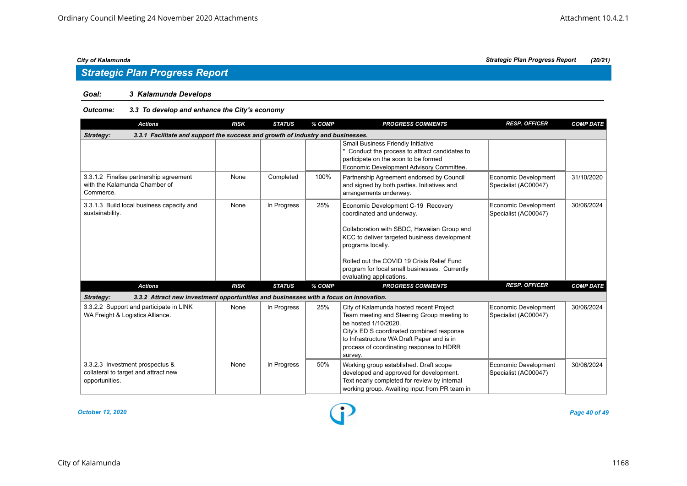## *Strategic Plan Progress Report*

### *Goal: 3 Kalamunda Develops*

### *Outcome: 3.3 To develop and enhance the City's economy*

| <b>Actions</b>                                                                                     | <b>RISK</b> | <b>STATUS</b> | % COMP | <b>PROGRESS COMMENTS</b>                                                                                                                                                                                                                                        | <b>RESP. OFFICER</b>                         | <b>COMP DATE</b> |
|----------------------------------------------------------------------------------------------------|-------------|---------------|--------|-----------------------------------------------------------------------------------------------------------------------------------------------------------------------------------------------------------------------------------------------------------------|----------------------------------------------|------------------|
| 3.3.1 Facilitate and support the success and growth of industry and businesses.<br>Strategy:       |             |               |        |                                                                                                                                                                                                                                                                 |                                              |                  |
|                                                                                                    |             |               |        | <b>Small Business Friendly Initiative</b><br>* Conduct the process to attract candidates to<br>participate on the soon to be formed<br>Economic Development Advisory Committee.                                                                                 |                                              |                  |
| 3.3.1.2 Finalise partnership agreement<br>with the Kalamunda Chamber of<br>Commerce.               | None        | Completed     | 100%   | Partnership Agreement endorsed by Council<br>and signed by both parties. Initiatives and<br>arrangements underway.                                                                                                                                              | Economic Development<br>Specialist (AC00047) | 31/10/2020       |
| 3.3.1.3 Build local business capacity and<br>sustainability.                                       | None        | In Progress   | 25%    | Economic Development C-19 Recovery<br>coordinated and underway.                                                                                                                                                                                                 | Economic Development<br>Specialist (AC00047) | 30/06/2024       |
|                                                                                                    |             |               |        | Collaboration with SBDC, Hawaiian Group and<br>KCC to deliver targeted business development<br>programs locally.                                                                                                                                                |                                              |                  |
|                                                                                                    |             |               |        | Rolled out the COVID 19 Crisis Relief Fund<br>program for local small businesses. Currently<br>evaluating applications.                                                                                                                                         |                                              |                  |
| <b>Actions</b>                                                                                     | <b>RISK</b> | <b>STATUS</b> | % COMP | <b>PROGRESS COMMENTS</b>                                                                                                                                                                                                                                        | <b>RESP. OFFICER</b>                         | <b>COMP DATE</b> |
| Strategy:<br>3.3.2 Attract new investment opportunities and businesses with a focus on innovation. |             |               |        |                                                                                                                                                                                                                                                                 |                                              |                  |
| 3.3.2.2 Support and participate in LINK<br>WA Freight & Logistics Alliance.                        | None        | In Progress   | 25%    | City of Kalamunda hosted recent Project<br>Team meeting and Steering Group meeting to<br>be hosted 1/10/2020.<br>City's ED S coordinated combined response<br>to Infrastructure WA Draft Paper and is in<br>process of coordinating response to HDRR<br>survey. | Economic Development<br>Specialist (AC00047) | 30/06/2024       |
| 3.3.2.3 Investment prospectus &<br>collateral to target and attract new<br>opportunities.          | None        | In Progress   | 50%    | Working group established. Draft scope<br>developed and approved for development.<br>Text nearly completed for review by internal<br>working group. Awaiting input from PR team in                                                                              | Economic Development<br>Specialist (AC00047) | 30/06/2024       |

#### *October 12, 2020 Page 40 of 49*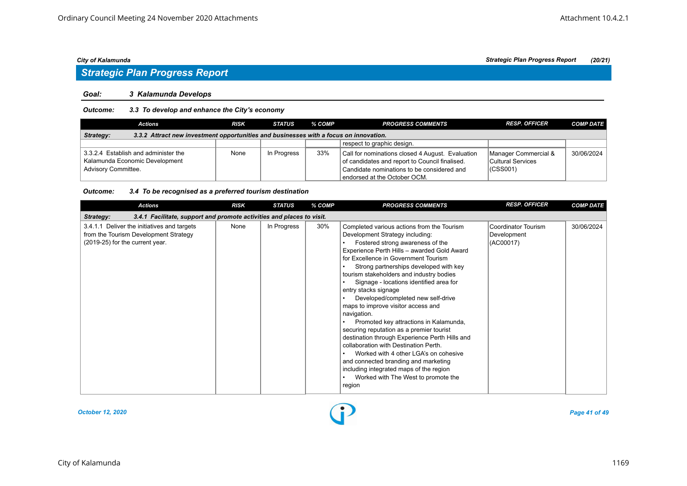#### *Goal: 3 Kalamunda Develops*

### *Outcome: 3.3 To develop and enhance the City's economy*

| <b>Actions</b>                                                                                     | <b>RISK</b> | <b>STATUS</b> | $%$ COMP | <b>PROGRESS COMMENTS</b>                                                                                                                                                         | <b>RESP. OFFICER</b>                                      | <b>COMP DATE</b> |  |  |  |  |
|----------------------------------------------------------------------------------------------------|-------------|---------------|----------|----------------------------------------------------------------------------------------------------------------------------------------------------------------------------------|-----------------------------------------------------------|------------------|--|--|--|--|
| 3.3.2 Attract new investment opportunities and businesses with a focus on innovation.<br>Strategy: |             |               |          |                                                                                                                                                                                  |                                                           |                  |  |  |  |  |
|                                                                                                    |             |               |          | respect to graphic design.                                                                                                                                                       |                                                           |                  |  |  |  |  |
| 3.3.2.4 Establish and administer the<br>Kalamunda Economic Development<br>Advisory Committee.      | None        | In Progress   | 33%      | Call for nominations closed 4 August. Evaluation<br>of candidates and report to Council finalised.<br>Candidate nominations to be considered and<br>endorsed at the October OCM. | Manager Commercial &<br>Cultural Services<br>$ $ (CSS001) | 30/06/2024       |  |  |  |  |

#### *Outcome: 3.4 To be recognised as a preferred tourism destination*

| <b>Actions</b>                                                                                                          | <b>RISK</b> | <b>STATUS</b> | % COMP | <b>PROGRESS COMMENTS</b>                                                                                                                                                                                                                                                                                                                                                                                                                                                                                                                                                                                                                                                                                                                                                                                                   | <b>RESP. OFFICER</b>                            | <b>COMP DATE</b> |
|-------------------------------------------------------------------------------------------------------------------------|-------------|---------------|--------|----------------------------------------------------------------------------------------------------------------------------------------------------------------------------------------------------------------------------------------------------------------------------------------------------------------------------------------------------------------------------------------------------------------------------------------------------------------------------------------------------------------------------------------------------------------------------------------------------------------------------------------------------------------------------------------------------------------------------------------------------------------------------------------------------------------------------|-------------------------------------------------|------------------|
| 3.4.1 Facilitate, support and promote activities and places to visit.<br>Strategy:                                      |             |               |        |                                                                                                                                                                                                                                                                                                                                                                                                                                                                                                                                                                                                                                                                                                                                                                                                                            |                                                 |                  |
| 3.4.1.1 Deliver the initiatives and targets<br>from the Tourism Development Strategy<br>(2019-25) for the current year. | None        | In Progress   | 30%    | Completed various actions from the Tourism<br>Development Strategy including:<br>Fostered strong awareness of the<br>Experience Perth Hills - awarded Gold Award<br>for Excellence in Government Tourism<br>Strong partnerships developed with key<br>tourism stakeholders and industry bodies<br>Signage - locations identified area for<br>entry stacks signage<br>Developed/completed new self-drive<br>maps to improve visitor access and<br>navigation.<br>Promoted key attractions in Kalamunda,<br>securing reputation as a premier tourist<br>destination through Experience Perth Hills and<br>collaboration with Destination Perth.<br>Worked with 4 other LGA's on cohesive<br>and connected branding and marketing<br>including integrated maps of the region<br>Worked with The West to promote the<br>region | Coordinator Tourism<br>Development<br>(AC00017) | 30/06/2024       |

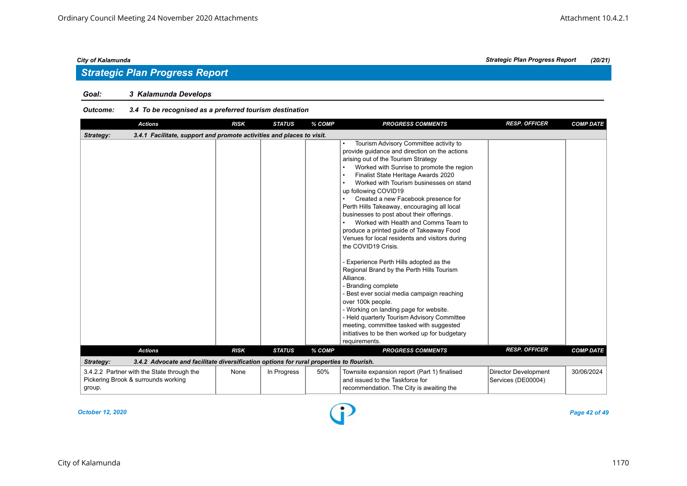### *Goal: 3 Kalamunda Develops*

### *Outcome: 3.4 To be recognised as a preferred tourism destination*

| <b>Actions</b>                                                                                       | <b>RISK</b> | <b>STATUS</b> | % COMP | <b>PROGRESS COMMENTS</b>                                                                                                                                                                                                                                                                                                                                                                                                                                                                                                                                                                                                                                                                                                                                                                                                                                                                                                                                                                 | <b>RESP. OFFICER</b>                       | <b>COMP DATE</b> |
|------------------------------------------------------------------------------------------------------|-------------|---------------|--------|------------------------------------------------------------------------------------------------------------------------------------------------------------------------------------------------------------------------------------------------------------------------------------------------------------------------------------------------------------------------------------------------------------------------------------------------------------------------------------------------------------------------------------------------------------------------------------------------------------------------------------------------------------------------------------------------------------------------------------------------------------------------------------------------------------------------------------------------------------------------------------------------------------------------------------------------------------------------------------------|--------------------------------------------|------------------|
| 3.4.1 Facilitate, support and promote activities and places to visit.<br>Strategy:                   |             |               |        |                                                                                                                                                                                                                                                                                                                                                                                                                                                                                                                                                                                                                                                                                                                                                                                                                                                                                                                                                                                          |                                            |                  |
|                                                                                                      |             |               |        | Tourism Advisory Committee activity to<br>provide quidance and direction on the actions<br>arising out of the Tourism Strategy<br>Worked with Sunrise to promote the region<br>Finalist State Heritage Awards 2020<br>Worked with Tourism businesses on stand<br>up following COVID19<br>Created a new Facebook presence for<br>Perth Hills Takeaway, encouraging all local<br>businesses to post about their offerings.<br>Worked with Health and Comms Team to<br>produce a printed guide of Takeaway Food<br>Venues for local residents and visitors during<br>the COVID19 Crisis.<br>- Experience Perth Hills adopted as the<br>Regional Brand by the Perth Hills Tourism<br>Alliance.<br>Branding complete<br>Best ever social media campaign reaching<br>over 100k people.<br>- Working on landing page for website.<br>- Held quarterly Tourism Advisory Committee<br>meeting, committee tasked with suggested<br>initiatives to be then worked up for budgetary<br>requirements. |                                            |                  |
| <b>Actions</b>                                                                                       | <b>RISK</b> | <b>STATUS</b> | % COMP | <b>PROGRESS COMMENTS</b>                                                                                                                                                                                                                                                                                                                                                                                                                                                                                                                                                                                                                                                                                                                                                                                                                                                                                                                                                                 | <b>RESP. OFFICER</b>                       | <b>COMP DATE</b> |
| 3.4.2 Advocate and facilitate diversification options for rural properties to flourish.<br>Strategy: |             |               |        |                                                                                                                                                                                                                                                                                                                                                                                                                                                                                                                                                                                                                                                                                                                                                                                                                                                                                                                                                                                          |                                            |                  |
| 3.4.2.2 Partner with the State through the<br>Pickering Brook & surrounds working<br>group.          | None        | In Progress   | 50%    | Townsite expansion report (Part 1) finalised<br>and issued to the Taskforce for<br>recommendation. The City is awaiting the                                                                                                                                                                                                                                                                                                                                                                                                                                                                                                                                                                                                                                                                                                                                                                                                                                                              | Director Development<br>Services (DE00004) | 30/06/2024       |

*October 12, 2020 Page 42 of 49*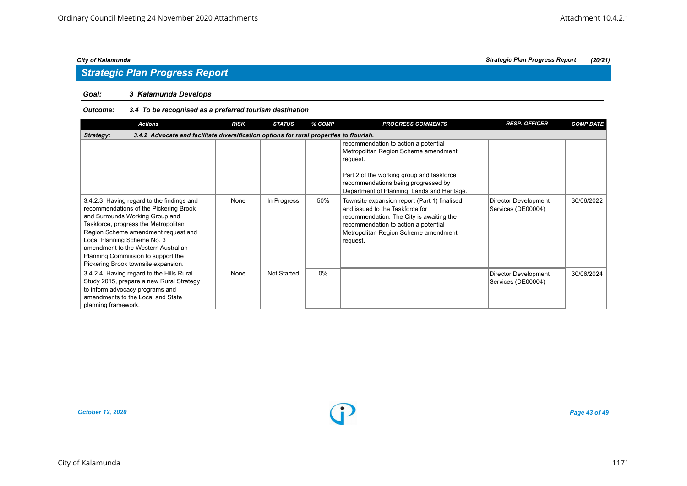## *Strategic Plan Progress Report*

### *Goal: 3 Kalamunda Develops*

### *Outcome: 3.4 To be recognised as a preferred tourism destination*

| <b>Actions</b>                                                                                                                                                                                                                                                                                                                                           | <b>RISK</b> | <b>STATUS</b> | % COMP | <b>PROGRESS COMMENTS</b>                                                                                                                                                                                                    | <b>RESP. OFFICER</b>                       | <b>COMP DATE</b> |  |  |  |  |
|----------------------------------------------------------------------------------------------------------------------------------------------------------------------------------------------------------------------------------------------------------------------------------------------------------------------------------------------------------|-------------|---------------|--------|-----------------------------------------------------------------------------------------------------------------------------------------------------------------------------------------------------------------------------|--------------------------------------------|------------------|--|--|--|--|
| 3.4.2 Advocate and facilitate diversification options for rural properties to flourish.<br>Strategy:                                                                                                                                                                                                                                                     |             |               |        |                                                                                                                                                                                                                             |                                            |                  |  |  |  |  |
|                                                                                                                                                                                                                                                                                                                                                          |             |               |        | recommendation to action a potential<br>Metropolitan Region Scheme amendment<br>request.<br>Part 2 of the working group and taskforce<br>recommendations being progressed by<br>Department of Planning, Lands and Heritage. |                                            |                  |  |  |  |  |
| 3.4.2.3 Having regard to the findings and<br>recommendations of the Pickering Brook<br>and Surrounds Working Group and<br>Taskforce, progress the Metropolitan<br>Region Scheme amendment request and<br>Local Planning Scheme No. 3<br>amendment to the Western Australian<br>Planning Commission to support the<br>Pickering Brook townsite expansion. | None        | In Progress   | 50%    | Townsite expansion report (Part 1) finalised<br>and issued to the Taskforce for<br>recommendation. The City is awaiting the<br>recommendation to action a potential<br>Metropolitan Region Scheme amendment<br>request.     | Director Development<br>Services (DE00004) | 30/06/2022       |  |  |  |  |
| 3.4.2.4 Having regard to the Hills Rural<br>Study 2015, prepare a new Rural Strategy<br>to inform advocacy programs and<br>amendments to the Local and State<br>planning framework.                                                                                                                                                                      | None        | Not Started   | 0%     |                                                                                                                                                                                                                             | Director Development<br>Services (DE00004) | 30/06/2024       |  |  |  |  |

*October 12, 2020 Page 43 of 49*

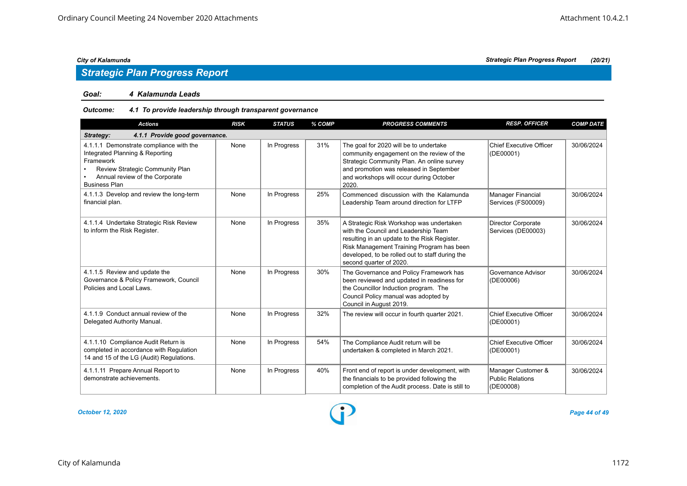#### *Goal: 4 Kalamunda Leads*

### *Outcome: 4.1 To provide leadership through transparent governance*

| <b>Actions</b>                                                                                                                                                                       | <b>RISK</b> | <b>STATUS</b> | % COMP | <b>PROGRESS COMMENTS</b>                                                                                                                                                                                                                                    | <b>RESP. OFFICER</b>                                       | <b>COMP DATE</b> |
|--------------------------------------------------------------------------------------------------------------------------------------------------------------------------------------|-------------|---------------|--------|-------------------------------------------------------------------------------------------------------------------------------------------------------------------------------------------------------------------------------------------------------------|------------------------------------------------------------|------------------|
| 4.1.1 Provide good governance.<br>Strategy:                                                                                                                                          |             |               |        |                                                                                                                                                                                                                                                             |                                                            |                  |
| 4.1.1.1 Demonstrate compliance with the<br>Integrated Planning & Reporting<br>Framework<br>Review Strategic Community Plan<br>Annual review of the Corporate<br><b>Business Plan</b> | None        | In Progress   | 31%    | The goal for 2020 will be to undertake<br>community engagement on the review of the<br>Strategic Community Plan. An online survey<br>and promotion was released in September<br>and workshops will occur during October<br>2020.                            | <b>Chief Executive Officer</b><br>(DE00001)                | 30/06/2024       |
| 4.1.1.3 Develop and review the long-term<br>financial plan.                                                                                                                          | None        | In Progress   | 25%    | Commenced discussion with the Kalamunda<br>Leadership Team around direction for LTFP                                                                                                                                                                        | <b>Manager Financial</b><br>Services (FS00009)             | 30/06/2024       |
| 4.1.1.4 Undertake Strategic Risk Review<br>to inform the Risk Register.                                                                                                              | None        | In Progress   | 35%    | A Strategic Risk Workshop was undertaken<br>with the Council and Leadership Team<br>resulting in an update to the Risk Register.<br>Risk Management Training Program has been<br>developed, to be rolled out to staff during the<br>second quarter of 2020. | <b>Director Corporate</b><br>Services (DE00003)            | 30/06/2024       |
| 4.1.1.5 Review and update the<br>Governance & Policy Framework, Council<br>Policies and Local Laws.                                                                                  | None        | In Progress   | 30%    | The Governance and Policy Framework has<br>been reviewed and updated in readiness for<br>the Councillor Induction program. The<br>Council Policy manual was adopted by<br>Council in August 2019.                                                           | Governance Advisor<br>(DE00006)                            | 30/06/2024       |
| 4.1.1.9 Conduct annual review of the<br>Delegated Authority Manual.                                                                                                                  | None        | In Progress   | 32%    | The review will occur in fourth quarter 2021.                                                                                                                                                                                                               | <b>Chief Executive Officer</b><br>(DE00001)                | 30/06/2024       |
| 4.1.1.10 Compliance Audit Return is<br>completed in accordance with Regulation<br>14 and 15 of the LG (Audit) Regulations.                                                           | None        | In Progress   | 54%    | The Compliance Audit return will be<br>undertaken & completed in March 2021.                                                                                                                                                                                | <b>Chief Executive Officer</b><br>(DE00001)                | 30/06/2024       |
| 4.1.1.11 Prepare Annual Report to<br>demonstrate achievements.                                                                                                                       | None        | In Progress   | 40%    | Front end of report is under development, with<br>the financials to be provided following the<br>completion of the Audit process. Date is still to                                                                                                          | Manager Customer &<br><b>Public Relations</b><br>(DE00008) | 30/06/2024       |

*October 12, 2020 Page 44 of 49*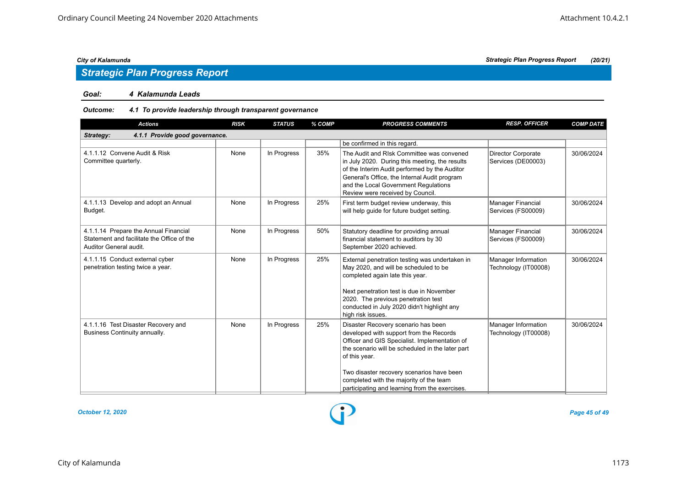## *Strategic Plan Progress Report*

#### *Goal: 4 Kalamunda Leads*

#### *Outcome: 4.1 To provide leadership through transparent governance*

| <b>Actions</b>                                                                                                | <b>RISK</b> | <b>STATUS</b> | % COMP | <b>PROGRESS COMMENTS</b>                                                                                                                                                                                                                                                                                                                       | <b>RESP. OFFICER</b>                            | <b>COMP DATE</b> |
|---------------------------------------------------------------------------------------------------------------|-------------|---------------|--------|------------------------------------------------------------------------------------------------------------------------------------------------------------------------------------------------------------------------------------------------------------------------------------------------------------------------------------------------|-------------------------------------------------|------------------|
| 4.1.1 Provide good governance.<br>Strategy:                                                                   |             |               |        |                                                                                                                                                                                                                                                                                                                                                |                                                 |                  |
|                                                                                                               |             |               |        | be confirmed in this regard.                                                                                                                                                                                                                                                                                                                   |                                                 |                  |
| 4.1.1.12 Convene Audit & Risk<br>Committee quarterly.                                                         | None        | In Progress   | 35%    | The Audit and RIsk Committee was convened<br>in July 2020. During this meeting, the results<br>of the Interim Audit performed by the Auditor<br>General's Office, the Internal Audit program<br>and the Local Government Regulations<br>Review were received by Council.                                                                       | <b>Director Corporate</b><br>Services (DE00003) | 30/06/2024       |
| 4.1.1.13 Develop and adopt an Annual<br>Budget.                                                               | None        | In Progress   | 25%    | First term budget review underway, this<br>will help quide for future budget setting.                                                                                                                                                                                                                                                          | Manager Financial<br>Services (FS00009)         | 30/06/2024       |
| 4.1.1.14 Prepare the Annual Financial<br>Statement and facilitate the Office of the<br>Auditor General audit. | None        | In Progress   | 50%    | Statutory deadline for providing annual<br>financial statement to auditors by 30<br>September 2020 achieved.                                                                                                                                                                                                                                   | <b>Manager Financial</b><br>Services (FS00009)  | 30/06/2024       |
| 4.1.1.15 Conduct external cyber<br>penetration testing twice a year.                                          | None        | In Progress   | 25%    | External penetration testing was undertaken in<br>May 2020, and will be scheduled to be<br>completed again late this year.<br>Next penetration test is due in November<br>2020. The previous penetration test<br>conducted in July 2020 didn't highlight any<br>high risk issues.                                                              | Manager Information<br>Technology (IT00008)     | 30/06/2024       |
| 4.1.1.16 Test Disaster Recovery and<br>Business Continuity annually.                                          | None        | In Progress   | 25%    | Disaster Recovery scenario has been<br>developed with support from the Records<br>Officer and GIS Specialist. Implementation of<br>the scenario will be scheduled in the later part<br>of this year.<br>Two disaster recovery scenarios have been<br>completed with the majority of the team<br>participating and learning from the exercises. | Manager Information<br>Technology (IT00008)     | 30/06/2024       |

*October 12, 2020 Page 45 of 49*

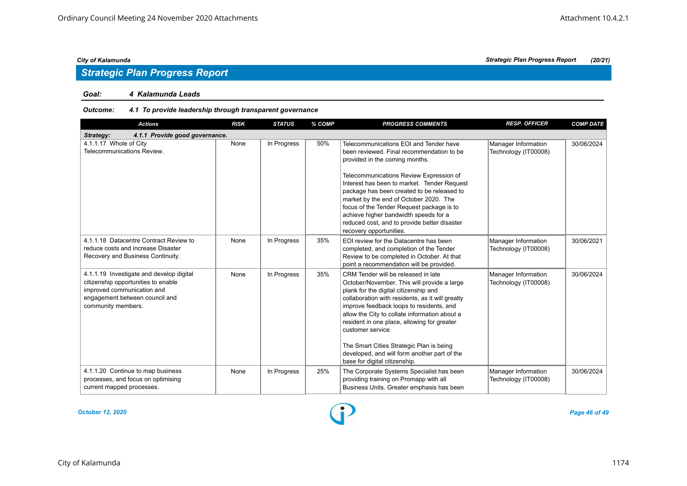### *Goal: 4 Kalamunda Leads*

### *Outcome: 4.1 To provide leadership through transparent governance*

| <b>Actions</b>                                                                                                                                                        | <b>RISK</b> | <b>STATUS</b> | % COMP | <b>PROGRESS COMMENTS</b>                                                                                                                                                                                                                                                                                                                                                                                                                                                      | <b>RESP. OFFICER</b>                        | <b>COMP DATE</b> |
|-----------------------------------------------------------------------------------------------------------------------------------------------------------------------|-------------|---------------|--------|-------------------------------------------------------------------------------------------------------------------------------------------------------------------------------------------------------------------------------------------------------------------------------------------------------------------------------------------------------------------------------------------------------------------------------------------------------------------------------|---------------------------------------------|------------------|
| 4.1.1 Provide good governance.<br>Strategy:                                                                                                                           |             |               |        |                                                                                                                                                                                                                                                                                                                                                                                                                                                                               |                                             |                  |
| 4.1.1.17 Whole of City<br>Telecommunications Review.                                                                                                                  | None        | In Progress   | 50%    | Telecommunications EOI and Tender have<br>been reviewed. Final recommendation to be<br>provided in the coming months.<br>Telecommunications Review Expression of<br>Interest has been to market. Tender Request<br>package has been created to be released to<br>market by the end of October 2020. The<br>focus of the Tender Request package is to<br>achieve higher bandwidth speeds for a<br>reduced cost, and to provide better disaster<br>recovery opportunities.      | Manager Information<br>Technology (IT00008) | 30/06/2024       |
| 4.1.1.18 Datacentre Contract Review to<br>reduce costs and increase Disaster<br>Recovery and Business Continuity.                                                     | None        | In Progress   | 35%    | EOI review for the Datacentre has been<br>completed, and completion of the Tender<br>Review to be completed in October. At that<br>point a recommendation will be provided.                                                                                                                                                                                                                                                                                                   | Manager Information<br>Technology (IT00008) | 30/06/2021       |
| 4.1.1.19 Investigate and develop digital<br>citizenship opportunities to enable<br>improved communication and<br>engagement between council and<br>community members. | None        | In Progress   | 35%    | CRM Tender will be released in late<br>October/November. This will provide a large<br>plank for the digital citizenship and<br>collaboration with residents, as it will greatly<br>improve feedback loops to residents, and<br>allow the City to collate information about a<br>resident in one place, allowing for greater<br>customer service.<br>The Smart Cities Strategic Plan is being<br>developed, and will form another part of the<br>base for digital citizenship. | Manager Information<br>Technology (IT00008) | 30/06/2024       |
| 4.1.1.20 Continue to map business<br>processes, and focus on optimising<br>current mapped processes.                                                                  | None        | In Progress   | 25%    | The Corporate Systems Specialist has been<br>providing training on Promapp with all<br>Business Units. Greater emphasis has been                                                                                                                                                                                                                                                                                                                                              | Manager Information<br>Technology (IT00008) | 30/06/2024       |

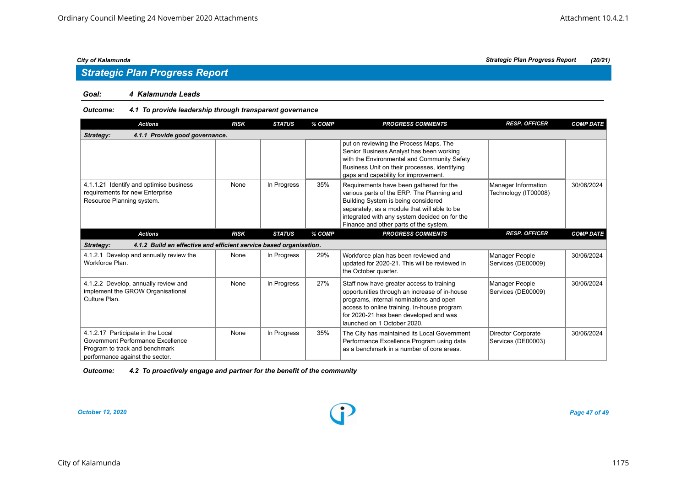## *Strategic Plan Progress Report*

#### *Goal: 4 Kalamunda Leads*

### *Outcome: 4.1 To provide leadership through transparent governance*

| <b>Actions</b>                                                                                                                              | <b>RISK</b> | <b>STATUS</b> | % COMP | <b>PROGRESS COMMENTS</b>                                                                                                                                                                                                                                                | <b>RESP. OFFICER</b>                            | <b>COMP DATE</b> |
|---------------------------------------------------------------------------------------------------------------------------------------------|-------------|---------------|--------|-------------------------------------------------------------------------------------------------------------------------------------------------------------------------------------------------------------------------------------------------------------------------|-------------------------------------------------|------------------|
| 4.1.1 Provide good governance.<br>Strategy:                                                                                                 |             |               |        |                                                                                                                                                                                                                                                                         |                                                 |                  |
|                                                                                                                                             |             |               |        | put on reviewing the Process Maps. The<br>Senior Business Analyst has been working<br>with the Environmental and Community Safety<br>Business Unit on their processes, identifying<br>gaps and capability for improvement.                                              |                                                 |                  |
| 4.1.1.21 Identify and optimise business<br>requirements for new Enterprise<br>Resource Planning system.                                     | None        | In Progress   | 35%    | Requirements have been gathered for the<br>various parts of the ERP. The Planning and<br>Building System is being considered<br>separately, as a module that will able to be<br>integrated with any system decided on for the<br>Finance and other parts of the system. | Manager Information<br>Technology (IT00008)     | 30/06/2024       |
| <b>Actions</b>                                                                                                                              | <b>RISK</b> | <b>STATUS</b> | % COMP | <b>PROGRESS COMMENTS</b>                                                                                                                                                                                                                                                | <b>RESP. OFFICER</b>                            | <b>COMP DATE</b> |
| 4.1.2 Build an effective and efficient service based organisation.<br>Strategy:                                                             |             |               |        |                                                                                                                                                                                                                                                                         |                                                 |                  |
| 4.1.2.1 Develop and annually review the<br>Workforce Plan.                                                                                  | None        | In Progress   | 29%    | Workforce plan has been reviewed and<br>updated for 2020-21. This will be reviewed in<br>the October quarter.                                                                                                                                                           | Manager People<br>Services (DE00009)            | 30/06/2024       |
| 4.1.2.2 Develop, annually review and<br>implement the GROW Organisational<br>Culture Plan.                                                  | None        | In Progress   | 27%    | Staff now have greater access to training<br>opportunities through an increase of in-house<br>programs, internal nominations and open<br>access to online training. In-house program<br>for 2020-21 has been developed and was<br>launched on 1 October 2020.           | Manager People<br>Services (DE00009)            | 30/06/2024       |
| 4.1.2.17 Participate in the Local<br>Government Performance Excellence<br>Program to track and benchmark<br>performance against the sector. | None        | In Progress   | 35%    | The City has maintained its Local Government<br>Performance Excellence Program using data<br>as a benchmark in a number of core areas.                                                                                                                                  | <b>Director Corporate</b><br>Services (DE00003) | 30/06/2024       |

| 4.2 To proactively engage and partner for the benefit of the community<br><b>Outcome:</b> |
|-------------------------------------------------------------------------------------------|
|-------------------------------------------------------------------------------------------|

#### *October 12, 2020 Page 47 of 49*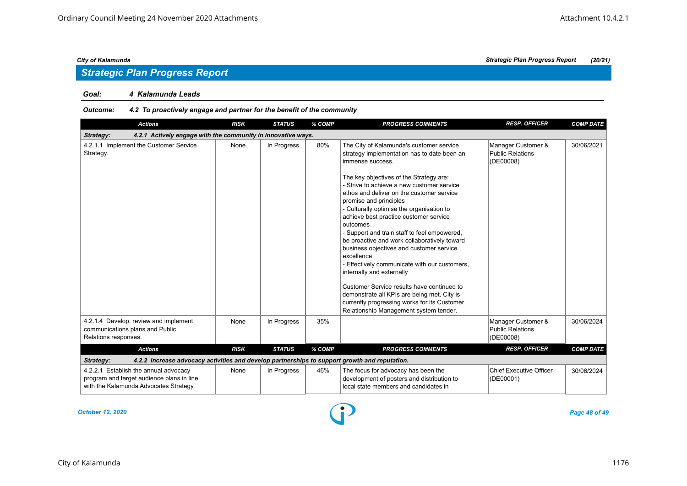#### *Goal: 4 Kalamunda Leads*

### *Outcome: 4.2 To proactively engage and partner for the benefit of the community*

| <b>Actions</b>                                                                                                               | <b>RISK</b> | <b>STATUS</b> | % COMP | <b>PROGRESS COMMENTS</b>                                                                                                                                                                                                                                                                                                                                                                                                                                                                                                                                                                                                                                                                                                                                                                                      | <b>RESP. OFFICER</b>                                       | <b>COMP DATE</b> |
|------------------------------------------------------------------------------------------------------------------------------|-------------|---------------|--------|---------------------------------------------------------------------------------------------------------------------------------------------------------------------------------------------------------------------------------------------------------------------------------------------------------------------------------------------------------------------------------------------------------------------------------------------------------------------------------------------------------------------------------------------------------------------------------------------------------------------------------------------------------------------------------------------------------------------------------------------------------------------------------------------------------------|------------------------------------------------------------|------------------|
| 4.2.1 Actively engage with the community in innovative ways.<br>Strategy:                                                    |             |               |        |                                                                                                                                                                                                                                                                                                                                                                                                                                                                                                                                                                                                                                                                                                                                                                                                               |                                                            |                  |
| 4.2.1.1 Implement the Customer Service<br>Strategy.                                                                          | None        | In Progress   | 80%    | The City of Kalamunda's customer service<br>strategy implementation has to date been an<br>immense success.<br>The key objectives of the Strategy are:<br>- Strive to achieve a new customer service<br>ethos and deliver on the customer service<br>promise and principles<br>- Culturally optimise the organisation to<br>achieve best practice customer service<br>outcomes<br>- Support and train staff to feel empowered,<br>be proactive and work collaboratively toward<br>business objectives and customer service<br>excellence<br>- Effectively communicate with our customers,<br>internally and externally<br>Customer Service results have continued to<br>demonstrate all KPIs are being met. City is<br>currently progressing works for its Customer<br>Relationship Management system tender. | Manager Customer &<br><b>Public Relations</b><br>(DE00008) | 30/06/2021       |
| 4.2.1.4 Develop, review and implement<br>communications plans and Public<br>Relations responses.                             | None        | In Progress   | 35%    |                                                                                                                                                                                                                                                                                                                                                                                                                                                                                                                                                                                                                                                                                                                                                                                                               | Manager Customer &<br><b>Public Relations</b><br>(DE00008) | 30/06/2024       |
| <b>Actions</b>                                                                                                               | <b>RISK</b> | <b>STATUS</b> | % COMP | <b>PROGRESS COMMENTS</b>                                                                                                                                                                                                                                                                                                                                                                                                                                                                                                                                                                                                                                                                                                                                                                                      | <b>RESP. OFFICER</b>                                       | <b>COMP DATE</b> |
| 4.2.2 Increase advocacy activities and develop partnerships to support growth and reputation.<br>Strategy:                   |             |               |        |                                                                                                                                                                                                                                                                                                                                                                                                                                                                                                                                                                                                                                                                                                                                                                                                               |                                                            |                  |
| 4.2.2.1 Establish the annual advocacy<br>program and target audience plans in line<br>with the Kalamunda Advocates Strategy. | None        | In Progress   | 46%    | The focus for advocacy has been the<br>development of posters and distribution to<br>local state members and candidates in                                                                                                                                                                                                                                                                                                                                                                                                                                                                                                                                                                                                                                                                                    | <b>Chief Executive Officer</b><br>(DE00001)                | 30/06/2024       |